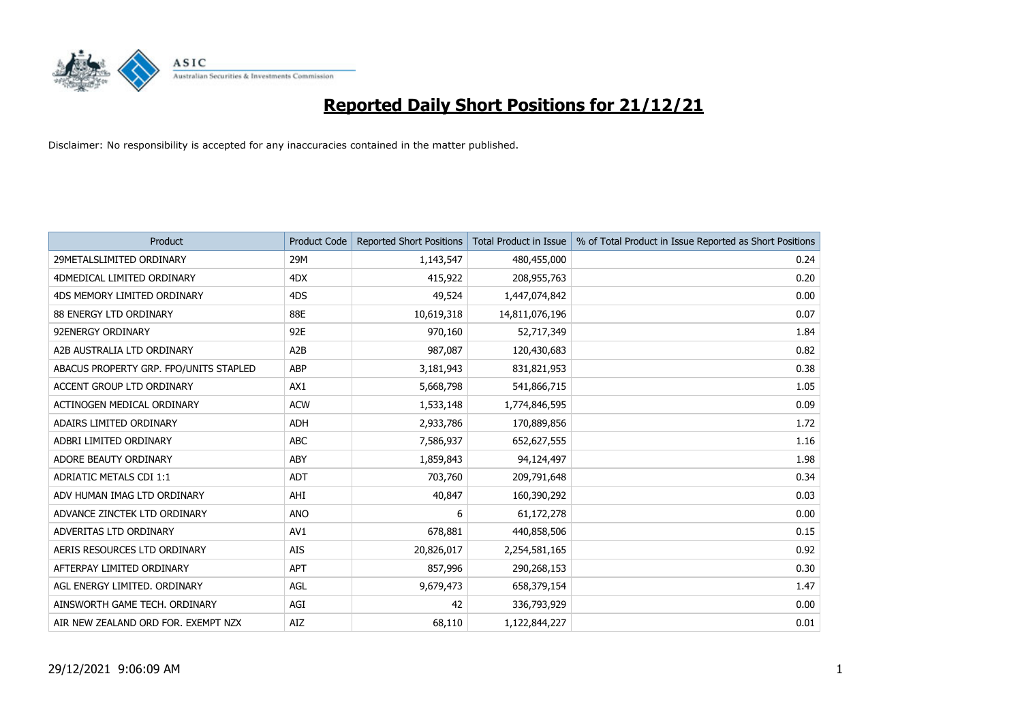

| <b>Product</b>                         | <b>Product Code</b> | <b>Reported Short Positions</b> | <b>Total Product in Issue</b> | % of Total Product in Issue Reported as Short Positions |
|----------------------------------------|---------------------|---------------------------------|-------------------------------|---------------------------------------------------------|
| 29METALSLIMITED ORDINARY               | 29M                 | 1,143,547                       | 480,455,000                   | 0.24                                                    |
| 4DMEDICAL LIMITED ORDINARY             | 4DX                 | 415,922                         | 208,955,763                   | 0.20                                                    |
| 4DS MEMORY LIMITED ORDINARY            | 4DS                 | 49,524                          | 1,447,074,842                 | 0.00                                                    |
| <b>88 ENERGY LTD ORDINARY</b>          | 88E                 | 10,619,318                      | 14,811,076,196                | 0.07                                                    |
| 92ENERGY ORDINARY                      | 92E                 | 970,160                         | 52,717,349                    | 1.84                                                    |
| A2B AUSTRALIA LTD ORDINARY             | A2B                 | 987,087                         | 120,430,683                   | 0.82                                                    |
| ABACUS PROPERTY GRP. FPO/UNITS STAPLED | ABP                 | 3,181,943                       | 831,821,953                   | 0.38                                                    |
| ACCENT GROUP LTD ORDINARY              | AX1                 | 5,668,798                       | 541,866,715                   | 1.05                                                    |
| ACTINOGEN MEDICAL ORDINARY             | <b>ACW</b>          | 1,533,148                       | 1,774,846,595                 | 0.09                                                    |
| ADAIRS LIMITED ORDINARY                | <b>ADH</b>          | 2,933,786                       | 170,889,856                   | 1.72                                                    |
| ADBRI LIMITED ORDINARY                 | ABC                 | 7,586,937                       | 652,627,555                   | 1.16                                                    |
| ADORE BEAUTY ORDINARY                  | <b>ABY</b>          | 1,859,843                       | 94,124,497                    | 1.98                                                    |
| <b>ADRIATIC METALS CDI 1:1</b>         | <b>ADT</b>          | 703,760                         | 209,791,648                   | 0.34                                                    |
| ADV HUMAN IMAG LTD ORDINARY            | AHI                 | 40,847                          | 160,390,292                   | 0.03                                                    |
| ADVANCE ZINCTEK LTD ORDINARY           | <b>ANO</b>          | 6                               | 61,172,278                    | 0.00                                                    |
| ADVERITAS LTD ORDINARY                 | AV1                 | 678,881                         | 440,858,506                   | 0.15                                                    |
| AERIS RESOURCES LTD ORDINARY           | <b>AIS</b>          | 20,826,017                      | 2,254,581,165                 | 0.92                                                    |
| AFTERPAY LIMITED ORDINARY              | <b>APT</b>          | 857,996                         | 290,268,153                   | 0.30                                                    |
| AGL ENERGY LIMITED, ORDINARY           | AGL                 | 9,679,473                       | 658,379,154                   | 1.47                                                    |
| AINSWORTH GAME TECH. ORDINARY          | AGI                 | 42                              | 336,793,929                   | 0.00                                                    |
| AIR NEW ZEALAND ORD FOR, EXEMPT NZX    | AIZ                 | 68,110                          | 1,122,844,227                 | 0.01                                                    |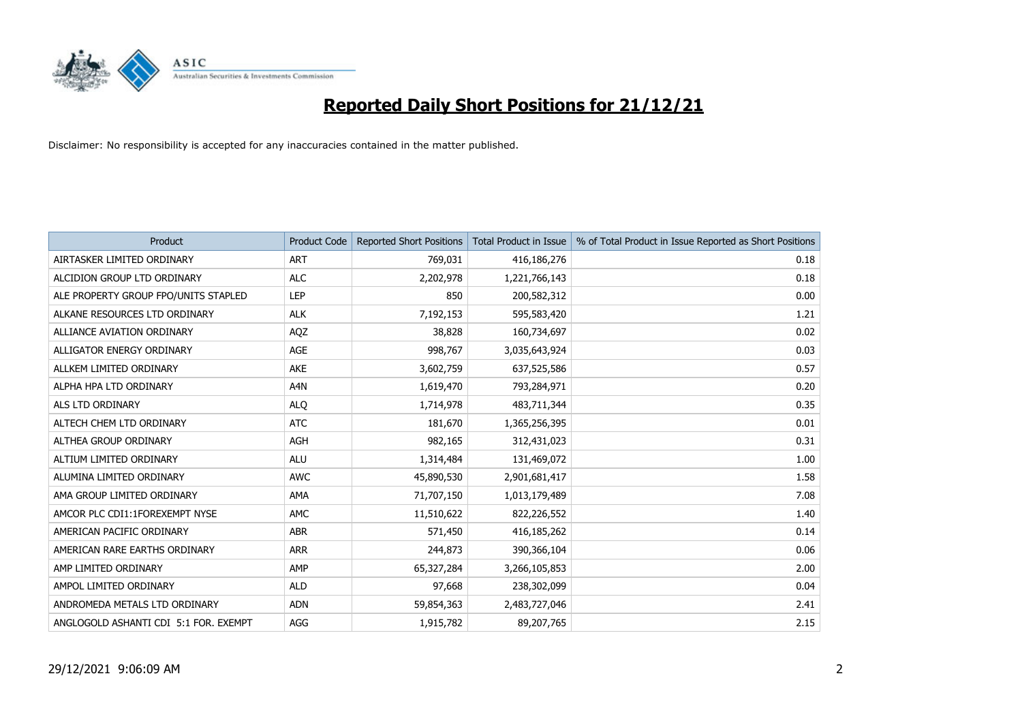

| Product                               | <b>Product Code</b> | <b>Reported Short Positions</b> | <b>Total Product in Issue</b> | % of Total Product in Issue Reported as Short Positions |
|---------------------------------------|---------------------|---------------------------------|-------------------------------|---------------------------------------------------------|
| AIRTASKER LIMITED ORDINARY            | <b>ART</b>          | 769,031                         | 416,186,276                   | 0.18                                                    |
| ALCIDION GROUP LTD ORDINARY           | <b>ALC</b>          | 2,202,978                       | 1,221,766,143                 | 0.18                                                    |
| ALE PROPERTY GROUP FPO/UNITS STAPLED  | <b>LEP</b>          | 850                             | 200,582,312                   | 0.00                                                    |
| ALKANE RESOURCES LTD ORDINARY         | <b>ALK</b>          | 7,192,153                       | 595,583,420                   | 1.21                                                    |
| ALLIANCE AVIATION ORDINARY            | AQZ                 | 38,828                          | 160,734,697                   | 0.02                                                    |
| ALLIGATOR ENERGY ORDINARY             | <b>AGE</b>          | 998,767                         | 3,035,643,924                 | 0.03                                                    |
| ALLKEM LIMITED ORDINARY               | <b>AKE</b>          | 3,602,759                       | 637,525,586                   | 0.57                                                    |
| ALPHA HPA LTD ORDINARY                | A4N                 | 1,619,470                       | 793,284,971                   | 0.20                                                    |
| ALS LTD ORDINARY                      | <b>ALQ</b>          | 1,714,978                       | 483,711,344                   | 0.35                                                    |
| ALTECH CHEM LTD ORDINARY              | <b>ATC</b>          | 181,670                         | 1,365,256,395                 | 0.01                                                    |
| ALTHEA GROUP ORDINARY                 | AGH                 | 982,165                         | 312,431,023                   | 0.31                                                    |
| ALTIUM LIMITED ORDINARY               | <b>ALU</b>          | 1,314,484                       | 131,469,072                   | 1.00                                                    |
| ALUMINA LIMITED ORDINARY              | <b>AWC</b>          | 45,890,530                      | 2,901,681,417                 | 1.58                                                    |
| AMA GROUP LIMITED ORDINARY            | AMA                 | 71,707,150                      | 1,013,179,489                 | 7.08                                                    |
| AMCOR PLC CDI1:1FOREXEMPT NYSE        | AMC                 | 11,510,622                      | 822,226,552                   | 1.40                                                    |
| AMERICAN PACIFIC ORDINARY             | <b>ABR</b>          | 571,450                         | 416,185,262                   | 0.14                                                    |
| AMERICAN RARE EARTHS ORDINARY         | <b>ARR</b>          | 244,873                         | 390,366,104                   | 0.06                                                    |
| AMP LIMITED ORDINARY                  | AMP                 | 65,327,284                      | 3,266,105,853                 | 2.00                                                    |
| AMPOL LIMITED ORDINARY                | <b>ALD</b>          | 97,668                          | 238,302,099                   | 0.04                                                    |
| ANDROMEDA METALS LTD ORDINARY         | <b>ADN</b>          | 59,854,363                      | 2,483,727,046                 | 2.41                                                    |
| ANGLOGOLD ASHANTI CDI 5:1 FOR. EXEMPT | AGG                 | 1,915,782                       | 89,207,765                    | 2.15                                                    |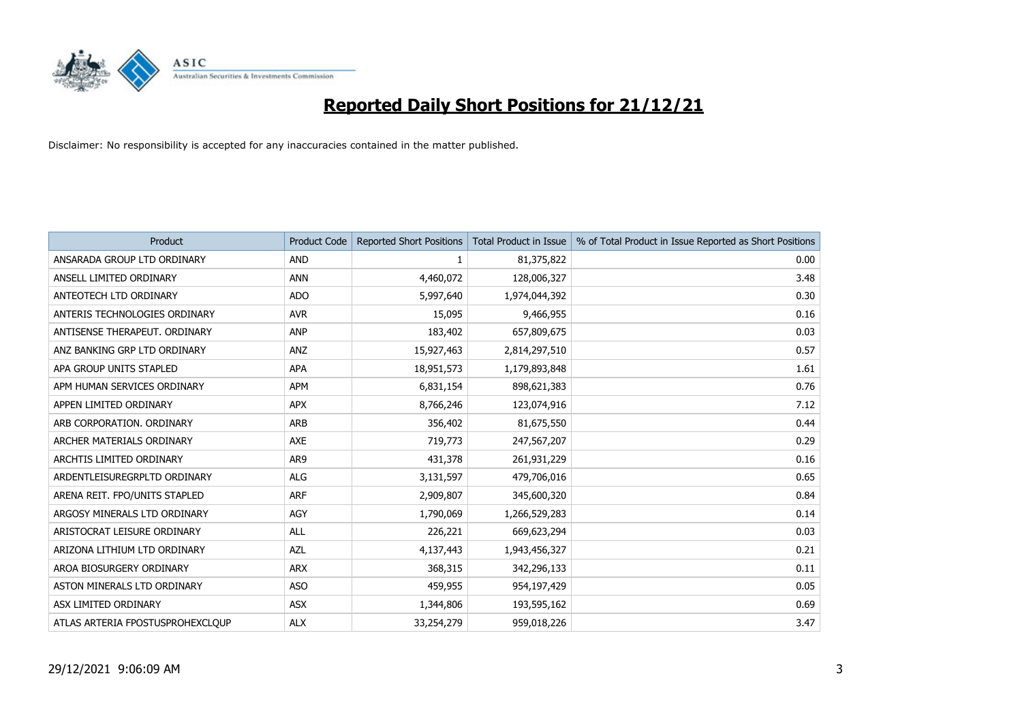

| <b>Product</b>                   | <b>Product Code</b> | <b>Reported Short Positions</b> | <b>Total Product in Issue</b> | % of Total Product in Issue Reported as Short Positions |
|----------------------------------|---------------------|---------------------------------|-------------------------------|---------------------------------------------------------|
| ANSARADA GROUP LTD ORDINARY      | <b>AND</b>          |                                 | 81,375,822                    | 0.00                                                    |
| ANSELL LIMITED ORDINARY          | <b>ANN</b>          | 4,460,072                       | 128,006,327                   | 3.48                                                    |
| ANTEOTECH LTD ORDINARY           | <b>ADO</b>          | 5,997,640                       | 1,974,044,392                 | 0.30                                                    |
| ANTERIS TECHNOLOGIES ORDINARY    | <b>AVR</b>          | 15,095                          | 9,466,955                     | 0.16                                                    |
| ANTISENSE THERAPEUT, ORDINARY    | <b>ANP</b>          | 183,402                         | 657,809,675                   | 0.03                                                    |
| ANZ BANKING GRP LTD ORDINARY     | <b>ANZ</b>          | 15,927,463                      | 2,814,297,510                 | 0.57                                                    |
| APA GROUP UNITS STAPLED          | <b>APA</b>          | 18,951,573                      | 1,179,893,848                 | 1.61                                                    |
| APM HUMAN SERVICES ORDINARY      | <b>APM</b>          | 6,831,154                       | 898,621,383                   | 0.76                                                    |
| APPEN LIMITED ORDINARY           | <b>APX</b>          | 8,766,246                       | 123,074,916                   | 7.12                                                    |
| ARB CORPORATION, ORDINARY        | ARB                 | 356,402                         | 81,675,550                    | 0.44                                                    |
| ARCHER MATERIALS ORDINARY        | <b>AXE</b>          | 719,773                         | 247,567,207                   | 0.29                                                    |
| ARCHTIS LIMITED ORDINARY         | AR9                 | 431,378                         | 261,931,229                   | 0.16                                                    |
| ARDENTLEISUREGRPLTD ORDINARY     | <b>ALG</b>          | 3,131,597                       | 479,706,016                   | 0.65                                                    |
| ARENA REIT. FPO/UNITS STAPLED    | <b>ARF</b>          | 2,909,807                       | 345,600,320                   | 0.84                                                    |
| ARGOSY MINERALS LTD ORDINARY     | AGY                 | 1,790,069                       | 1,266,529,283                 | 0.14                                                    |
| ARISTOCRAT LEISURE ORDINARY      | ALL                 | 226,221                         | 669,623,294                   | 0.03                                                    |
| ARIZONA LITHIUM LTD ORDINARY     | <b>AZL</b>          | 4,137,443                       | 1,943,456,327                 | 0.21                                                    |
| AROA BIOSURGERY ORDINARY         | <b>ARX</b>          | 368,315                         | 342,296,133                   | 0.11                                                    |
| ASTON MINERALS LTD ORDINARY      | <b>ASO</b>          | 459,955                         | 954,197,429                   | 0.05                                                    |
| ASX LIMITED ORDINARY             | <b>ASX</b>          | 1,344,806                       | 193,595,162                   | 0.69                                                    |
| ATLAS ARTERIA FPOSTUSPROHEXCLOUP | <b>ALX</b>          | 33,254,279                      | 959,018,226                   | 3.47                                                    |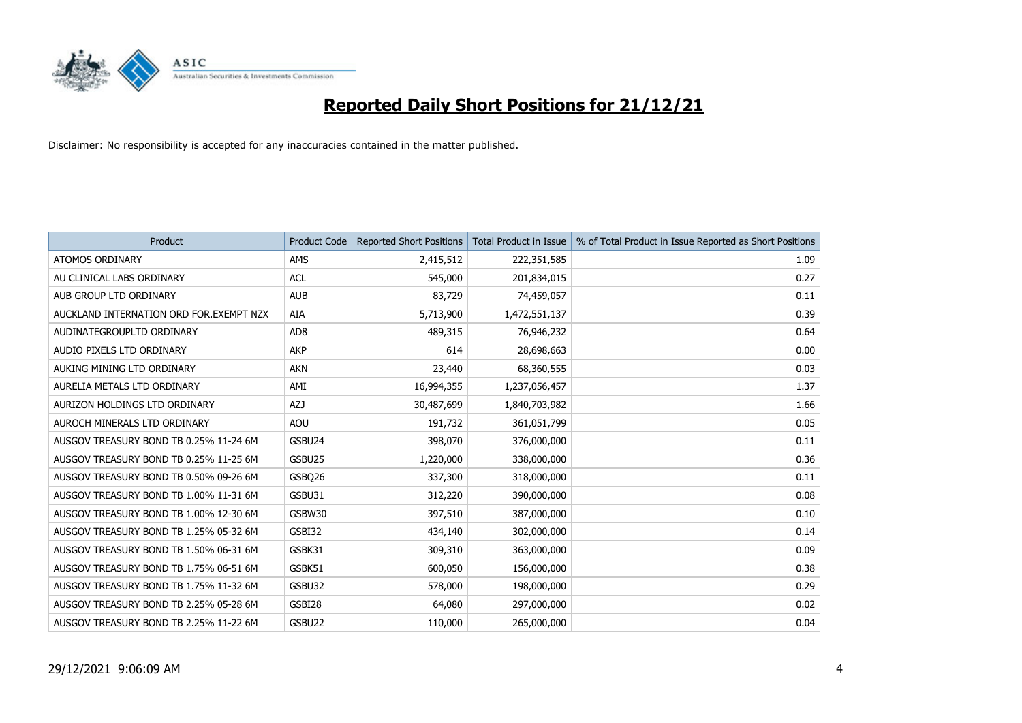

| <b>Product</b>                          | <b>Product Code</b> | <b>Reported Short Positions</b> | <b>Total Product in Issue</b> | % of Total Product in Issue Reported as Short Positions |
|-----------------------------------------|---------------------|---------------------------------|-------------------------------|---------------------------------------------------------|
| ATOMOS ORDINARY                         | AMS                 | 2,415,512                       | 222,351,585                   | 1.09                                                    |
| AU CLINICAL LABS ORDINARY               | <b>ACL</b>          | 545,000                         | 201,834,015                   | 0.27                                                    |
| AUB GROUP LTD ORDINARY                  | <b>AUB</b>          | 83,729                          | 74,459,057                    | 0.11                                                    |
| AUCKLAND INTERNATION ORD FOR EXEMPT NZX | AIA                 | 5,713,900                       | 1,472,551,137                 | 0.39                                                    |
| AUDINATEGROUPLTD ORDINARY               | AD <sub>8</sub>     | 489,315                         | 76,946,232                    | 0.64                                                    |
| AUDIO PIXELS LTD ORDINARY               | <b>AKP</b>          | 614                             | 28,698,663                    | 0.00                                                    |
| AUKING MINING LTD ORDINARY              | <b>AKN</b>          | 23,440                          | 68,360,555                    | 0.03                                                    |
| AURELIA METALS LTD ORDINARY             | AMI                 | 16,994,355                      | 1,237,056,457                 | 1.37                                                    |
| AURIZON HOLDINGS LTD ORDINARY           | AZJ                 | 30,487,699                      | 1,840,703,982                 | 1.66                                                    |
| AUROCH MINERALS LTD ORDINARY            | AOU                 | 191,732                         | 361,051,799                   | 0.05                                                    |
| AUSGOV TREASURY BOND TB 0.25% 11-24 6M  | GSBU24              | 398,070                         | 376,000,000                   | 0.11                                                    |
| AUSGOV TREASURY BOND TB 0.25% 11-25 6M  | GSBU25              | 1,220,000                       | 338,000,000                   | 0.36                                                    |
| AUSGOV TREASURY BOND TB 0.50% 09-26 6M  | GSBQ26              | 337,300                         | 318,000,000                   | 0.11                                                    |
| AUSGOV TREASURY BOND TB 1.00% 11-31 6M  | GSBU31              | 312,220                         | 390,000,000                   | 0.08                                                    |
| AUSGOV TREASURY BOND TB 1,00% 12-30 6M  | GSBW30              | 397,510                         | 387,000,000                   | 0.10                                                    |
| AUSGOV TREASURY BOND TB 1.25% 05-32 6M  | GSBI32              | 434,140                         | 302,000,000                   | 0.14                                                    |
| AUSGOV TREASURY BOND TB 1.50% 06-31 6M  | GSBK31              | 309,310                         | 363,000,000                   | 0.09                                                    |
| AUSGOV TREASURY BOND TB 1.75% 06-51 6M  | GSBK51              | 600,050                         | 156,000,000                   | 0.38                                                    |
| AUSGOV TREASURY BOND TB 1.75% 11-32 6M  | GSBU32              | 578,000                         | 198,000,000                   | 0.29                                                    |
| AUSGOV TREASURY BOND TB 2.25% 05-28 6M  | GSBI28              | 64,080                          | 297,000,000                   | 0.02                                                    |
| AUSGOV TREASURY BOND TB 2.25% 11-22 6M  | GSBU22              | 110,000                         | 265,000,000                   | 0.04                                                    |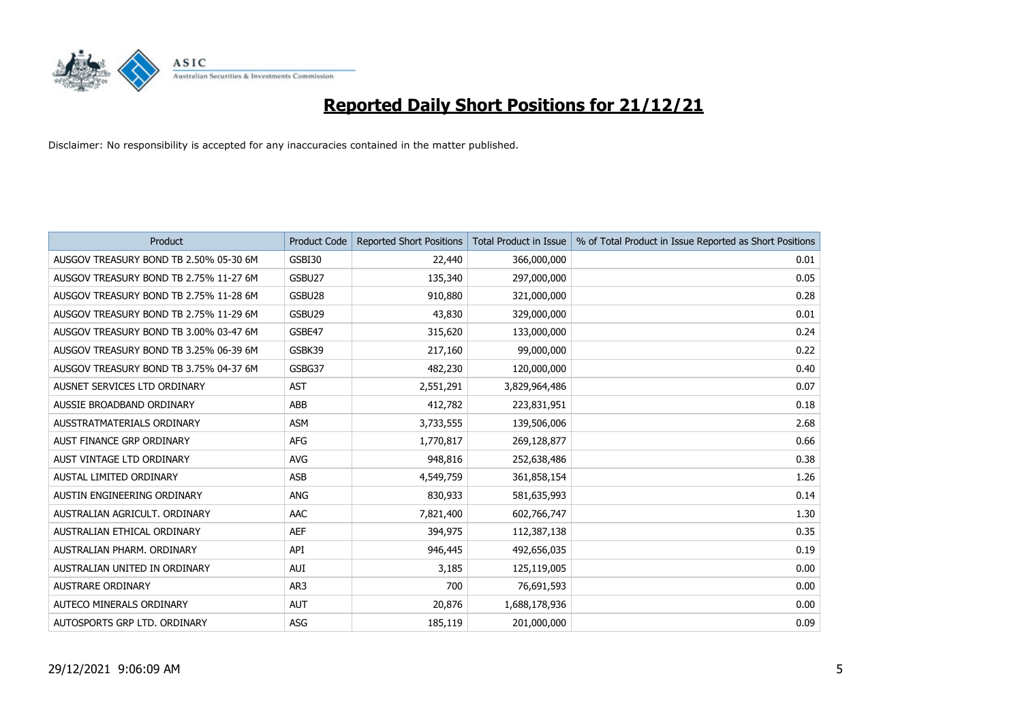

| <b>Product</b>                         | <b>Product Code</b> | <b>Reported Short Positions</b> | <b>Total Product in Issue</b> | % of Total Product in Issue Reported as Short Positions |
|----------------------------------------|---------------------|---------------------------------|-------------------------------|---------------------------------------------------------|
| AUSGOV TREASURY BOND TB 2.50% 05-30 6M | GSBI30              | 22,440                          | 366,000,000                   | 0.01                                                    |
| AUSGOV TREASURY BOND TB 2.75% 11-27 6M | GSBU27              | 135,340                         | 297,000,000                   | 0.05                                                    |
| AUSGOV TREASURY BOND TB 2.75% 11-28 6M | GSBU28              | 910,880                         | 321,000,000                   | 0.28                                                    |
| AUSGOV TREASURY BOND TB 2.75% 11-29 6M | GSBU29              | 43,830                          | 329,000,000                   | 0.01                                                    |
| AUSGOV TREASURY BOND TB 3.00% 03-47 6M | GSBE47              | 315,620                         | 133,000,000                   | 0.24                                                    |
| AUSGOV TREASURY BOND TB 3.25% 06-39 6M | GSBK39              | 217,160                         | 99,000,000                    | 0.22                                                    |
| AUSGOV TREASURY BOND TB 3.75% 04-37 6M | GSBG37              | 482,230                         | 120,000,000                   | 0.40                                                    |
| AUSNET SERVICES LTD ORDINARY           | <b>AST</b>          | 2,551,291                       | 3,829,964,486                 | 0.07                                                    |
| AUSSIE BROADBAND ORDINARY              | ABB                 | 412,782                         | 223,831,951                   | 0.18                                                    |
| AUSSTRATMATERIALS ORDINARY             | <b>ASM</b>          | 3,733,555                       | 139,506,006                   | 2.68                                                    |
| AUST FINANCE GRP ORDINARY              | AFG                 | 1,770,817                       | 269,128,877                   | 0.66                                                    |
| AUST VINTAGE LTD ORDINARY              | <b>AVG</b>          | 948,816                         | 252,638,486                   | 0.38                                                    |
| AUSTAL LIMITED ORDINARY                | <b>ASB</b>          | 4,549,759                       | 361,858,154                   | 1.26                                                    |
| AUSTIN ENGINEERING ORDINARY            | <b>ANG</b>          | 830,933                         | 581,635,993                   | 0.14                                                    |
| AUSTRALIAN AGRICULT, ORDINARY          | <b>AAC</b>          | 7,821,400                       | 602,766,747                   | 1.30                                                    |
| AUSTRALIAN ETHICAL ORDINARY            | <b>AEF</b>          | 394,975                         | 112,387,138                   | 0.35                                                    |
| AUSTRALIAN PHARM. ORDINARY             | API                 | 946,445                         | 492,656,035                   | 0.19                                                    |
| AUSTRALIAN UNITED IN ORDINARY          | AUI                 | 3,185                           | 125,119,005                   | 0.00                                                    |
| <b>AUSTRARE ORDINARY</b>               | AR <sub>3</sub>     | 700                             | 76,691,593                    | 0.00                                                    |
| AUTECO MINERALS ORDINARY               | <b>AUT</b>          | 20,876                          | 1,688,178,936                 | 0.00                                                    |
| AUTOSPORTS GRP LTD, ORDINARY           | ASG                 | 185,119                         | 201,000,000                   | 0.09                                                    |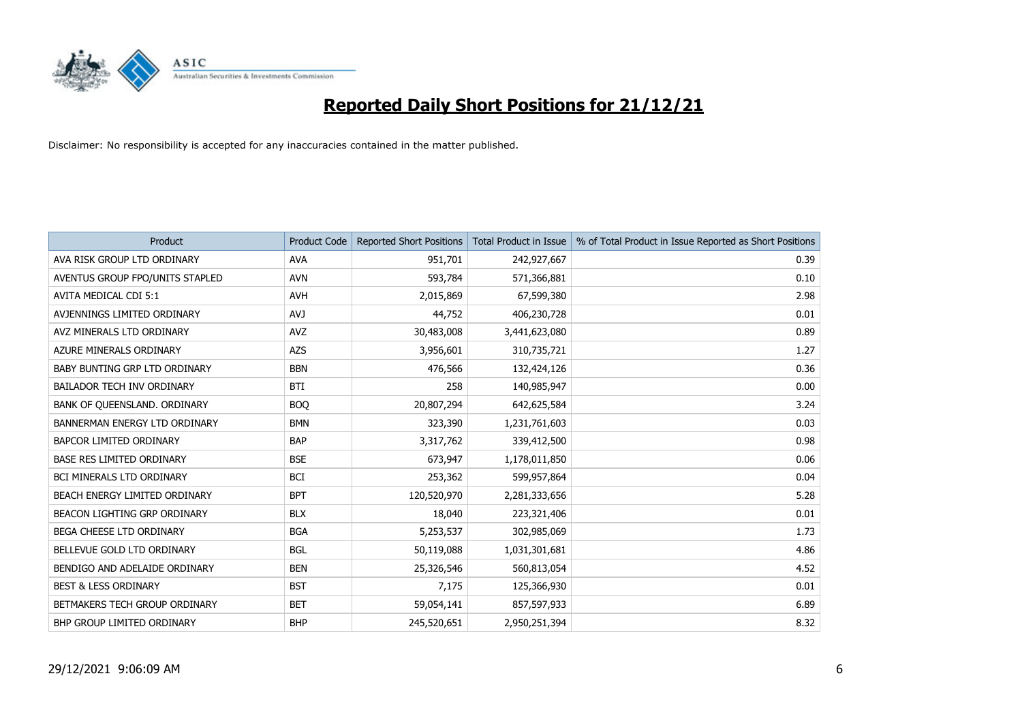

| Product                         | <b>Product Code</b> | <b>Reported Short Positions</b> | <b>Total Product in Issue</b> | % of Total Product in Issue Reported as Short Positions |
|---------------------------------|---------------------|---------------------------------|-------------------------------|---------------------------------------------------------|
| AVA RISK GROUP LTD ORDINARY     | <b>AVA</b>          | 951,701                         | 242,927,667                   | 0.39                                                    |
| AVENTUS GROUP FPO/UNITS STAPLED | <b>AVN</b>          | 593,784                         | 571,366,881                   | 0.10                                                    |
| AVITA MEDICAL CDI 5:1           | <b>AVH</b>          | 2,015,869                       | 67,599,380                    | 2.98                                                    |
| AVJENNINGS LIMITED ORDINARY     | AVJ                 | 44,752                          | 406,230,728                   | 0.01                                                    |
| AVZ MINERALS LTD ORDINARY       | <b>AVZ</b>          | 30,483,008                      | 3,441,623,080                 | 0.89                                                    |
| AZURE MINERALS ORDINARY         | <b>AZS</b>          | 3,956,601                       | 310,735,721                   | 1.27                                                    |
| BABY BUNTING GRP LTD ORDINARY   | <b>BBN</b>          | 476,566                         | 132,424,126                   | 0.36                                                    |
| BAILADOR TECH INV ORDINARY      | <b>BTI</b>          | 258                             | 140,985,947                   | 0.00                                                    |
| BANK OF QUEENSLAND. ORDINARY    | <b>BOQ</b>          | 20,807,294                      | 642,625,584                   | 3.24                                                    |
| BANNERMAN ENERGY LTD ORDINARY   | <b>BMN</b>          | 323,390                         | 1,231,761,603                 | 0.03                                                    |
| BAPCOR LIMITED ORDINARY         | <b>BAP</b>          | 3,317,762                       | 339,412,500                   | 0.98                                                    |
| BASE RES LIMITED ORDINARY       | <b>BSE</b>          | 673,947                         | 1,178,011,850                 | 0.06                                                    |
| BCI MINERALS LTD ORDINARY       | BCI                 | 253,362                         | 599,957,864                   | 0.04                                                    |
| BEACH ENERGY LIMITED ORDINARY   | <b>BPT</b>          | 120,520,970                     | 2,281,333,656                 | 5.28                                                    |
| BEACON LIGHTING GRP ORDINARY    | <b>BLX</b>          | 18,040                          | 223,321,406                   | 0.01                                                    |
| BEGA CHEESE LTD ORDINARY        | <b>BGA</b>          | 5,253,537                       | 302,985,069                   | 1.73                                                    |
| BELLEVUE GOLD LTD ORDINARY      | <b>BGL</b>          | 50,119,088                      | 1,031,301,681                 | 4.86                                                    |
| BENDIGO AND ADELAIDE ORDINARY   | <b>BEN</b>          | 25,326,546                      | 560,813,054                   | 4.52                                                    |
| BEST & LESS ORDINARY            | <b>BST</b>          | 7,175                           | 125,366,930                   | 0.01                                                    |
| BETMAKERS TECH GROUP ORDINARY   | <b>BET</b>          | 59,054,141                      | 857,597,933                   | 6.89                                                    |
| BHP GROUP LIMITED ORDINARY      | <b>BHP</b>          | 245,520,651                     | 2,950,251,394                 | 8.32                                                    |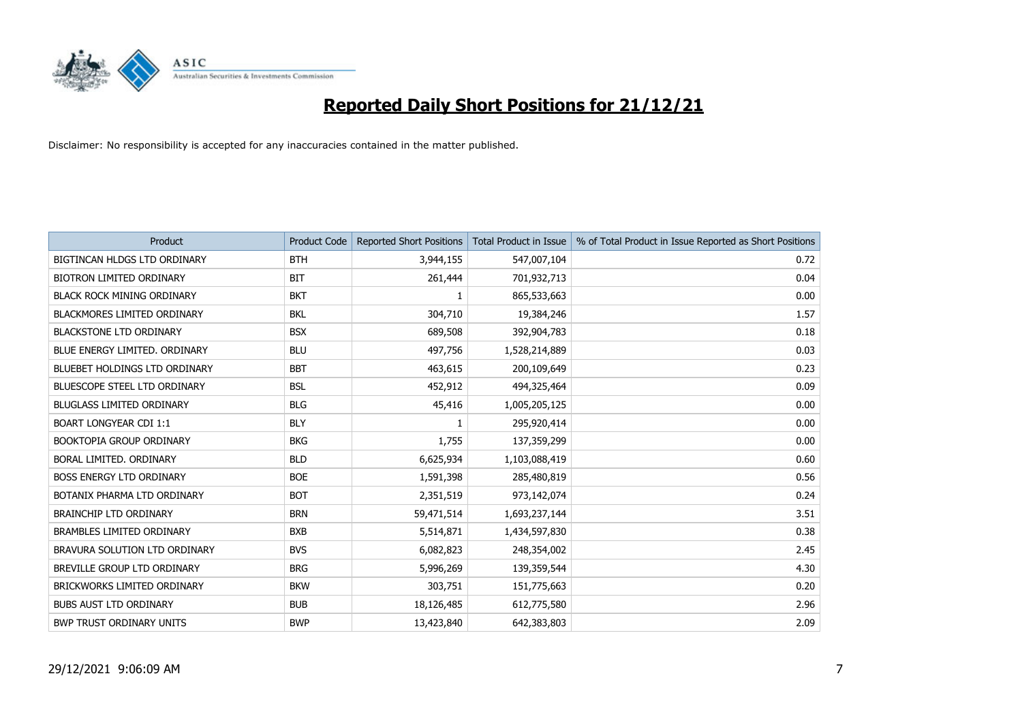

| <b>Product</b>                     | <b>Product Code</b> | <b>Reported Short Positions</b> | <b>Total Product in Issue</b> | % of Total Product in Issue Reported as Short Positions |
|------------------------------------|---------------------|---------------------------------|-------------------------------|---------------------------------------------------------|
| BIGTINCAN HLDGS LTD ORDINARY       | <b>BTH</b>          | 3,944,155                       | 547,007,104                   | 0.72                                                    |
| <b>BIOTRON LIMITED ORDINARY</b>    | BIT                 | 261,444                         | 701,932,713                   | 0.04                                                    |
| <b>BLACK ROCK MINING ORDINARY</b>  | <b>BKT</b>          |                                 | 865,533,663                   | 0.00                                                    |
| <b>BLACKMORES LIMITED ORDINARY</b> | <b>BKL</b>          | 304,710                         | 19,384,246                    | 1.57                                                    |
| <b>BLACKSTONE LTD ORDINARY</b>     | <b>BSX</b>          | 689,508                         | 392,904,783                   | 0.18                                                    |
| BLUE ENERGY LIMITED. ORDINARY      | <b>BLU</b>          | 497,756                         | 1,528,214,889                 | 0.03                                                    |
| BLUEBET HOLDINGS LTD ORDINARY      | <b>BBT</b>          | 463,615                         | 200,109,649                   | 0.23                                                    |
| BLUESCOPE STEEL LTD ORDINARY       | <b>BSL</b>          | 452,912                         | 494,325,464                   | 0.09                                                    |
| <b>BLUGLASS LIMITED ORDINARY</b>   | <b>BLG</b>          | 45,416                          | 1,005,205,125                 | 0.00                                                    |
| <b>BOART LONGYEAR CDI 1:1</b>      | <b>BLY</b>          | 1                               | 295,920,414                   | 0.00                                                    |
| <b>BOOKTOPIA GROUP ORDINARY</b>    | <b>BKG</b>          | 1,755                           | 137,359,299                   | 0.00                                                    |
| BORAL LIMITED, ORDINARY            | <b>BLD</b>          | 6,625,934                       | 1,103,088,419                 | 0.60                                                    |
| <b>BOSS ENERGY LTD ORDINARY</b>    | <b>BOE</b>          | 1,591,398                       | 285,480,819                   | 0.56                                                    |
| BOTANIX PHARMA LTD ORDINARY        | <b>BOT</b>          | 2,351,519                       | 973,142,074                   | 0.24                                                    |
| <b>BRAINCHIP LTD ORDINARY</b>      | <b>BRN</b>          | 59,471,514                      | 1,693,237,144                 | 3.51                                                    |
| BRAMBLES LIMITED ORDINARY          | <b>BXB</b>          | 5,514,871                       | 1,434,597,830                 | 0.38                                                    |
| BRAVURA SOLUTION LTD ORDINARY      | <b>BVS</b>          | 6,082,823                       | 248,354,002                   | 2.45                                                    |
| BREVILLE GROUP LTD ORDINARY        | <b>BRG</b>          | 5,996,269                       | 139,359,544                   | 4.30                                                    |
| BRICKWORKS LIMITED ORDINARY        | <b>BKW</b>          | 303,751                         | 151,775,663                   | 0.20                                                    |
| <b>BUBS AUST LTD ORDINARY</b>      | <b>BUB</b>          | 18,126,485                      | 612,775,580                   | 2.96                                                    |
| <b>BWP TRUST ORDINARY UNITS</b>    | <b>BWP</b>          | 13,423,840                      | 642,383,803                   | 2.09                                                    |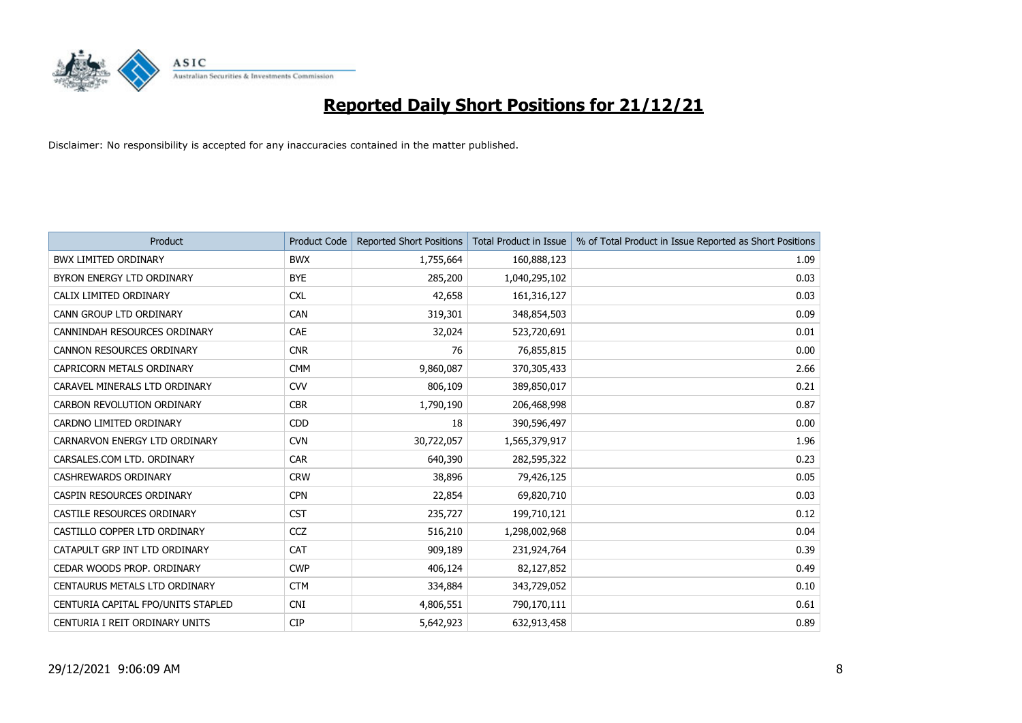

| <b>Product</b>                     | <b>Product Code</b> | <b>Reported Short Positions</b> | <b>Total Product in Issue</b> | % of Total Product in Issue Reported as Short Positions |
|------------------------------------|---------------------|---------------------------------|-------------------------------|---------------------------------------------------------|
| BWX LIMITED ORDINARY               | <b>BWX</b>          | 1,755,664                       | 160,888,123                   | 1.09                                                    |
| BYRON ENERGY LTD ORDINARY          | <b>BYE</b>          | 285,200                         | 1,040,295,102                 | 0.03                                                    |
| CALIX LIMITED ORDINARY             | <b>CXL</b>          | 42,658                          | 161,316,127                   | 0.03                                                    |
| CANN GROUP LTD ORDINARY            | CAN                 | 319,301                         | 348,854,503                   | 0.09                                                    |
| CANNINDAH RESOURCES ORDINARY       | <b>CAE</b>          | 32,024                          | 523,720,691                   | 0.01                                                    |
| CANNON RESOURCES ORDINARY          | <b>CNR</b>          | 76                              | 76,855,815                    | 0.00                                                    |
| CAPRICORN METALS ORDINARY          | <b>CMM</b>          | 9,860,087                       | 370,305,433                   | 2.66                                                    |
| CARAVEL MINERALS LTD ORDINARY      | <b>CVV</b>          | 806,109                         | 389,850,017                   | 0.21                                                    |
| CARBON REVOLUTION ORDINARY         | <b>CBR</b>          | 1,790,190                       | 206,468,998                   | 0.87                                                    |
| CARDNO LIMITED ORDINARY            | <b>CDD</b>          | 18                              | 390,596,497                   | 0.00                                                    |
| CARNARVON ENERGY LTD ORDINARY      | <b>CVN</b>          | 30,722,057                      | 1,565,379,917                 | 1.96                                                    |
| CARSALES.COM LTD. ORDINARY         | <b>CAR</b>          | 640,390                         | 282,595,322                   | 0.23                                                    |
| <b>CASHREWARDS ORDINARY</b>        | <b>CRW</b>          | 38,896                          | 79,426,125                    | 0.05                                                    |
| CASPIN RESOURCES ORDINARY          | <b>CPN</b>          | 22,854                          | 69,820,710                    | 0.03                                                    |
| CASTILE RESOURCES ORDINARY         | <b>CST</b>          | 235,727                         | 199,710,121                   | 0.12                                                    |
| CASTILLO COPPER LTD ORDINARY       | <b>CCZ</b>          | 516,210                         | 1,298,002,968                 | 0.04                                                    |
| CATAPULT GRP INT LTD ORDINARY      | <b>CAT</b>          | 909,189                         | 231,924,764                   | 0.39                                                    |
| CEDAR WOODS PROP, ORDINARY         | <b>CWP</b>          | 406,124                         | 82,127,852                    | 0.49                                                    |
| CENTAURUS METALS LTD ORDINARY      | <b>CTM</b>          | 334,884                         | 343,729,052                   | 0.10                                                    |
| CENTURIA CAPITAL FPO/UNITS STAPLED | <b>CNI</b>          | 4,806,551                       | 790,170,111                   | 0.61                                                    |
| CENTURIA I REIT ORDINARY UNITS     | <b>CIP</b>          | 5,642,923                       | 632,913,458                   | 0.89                                                    |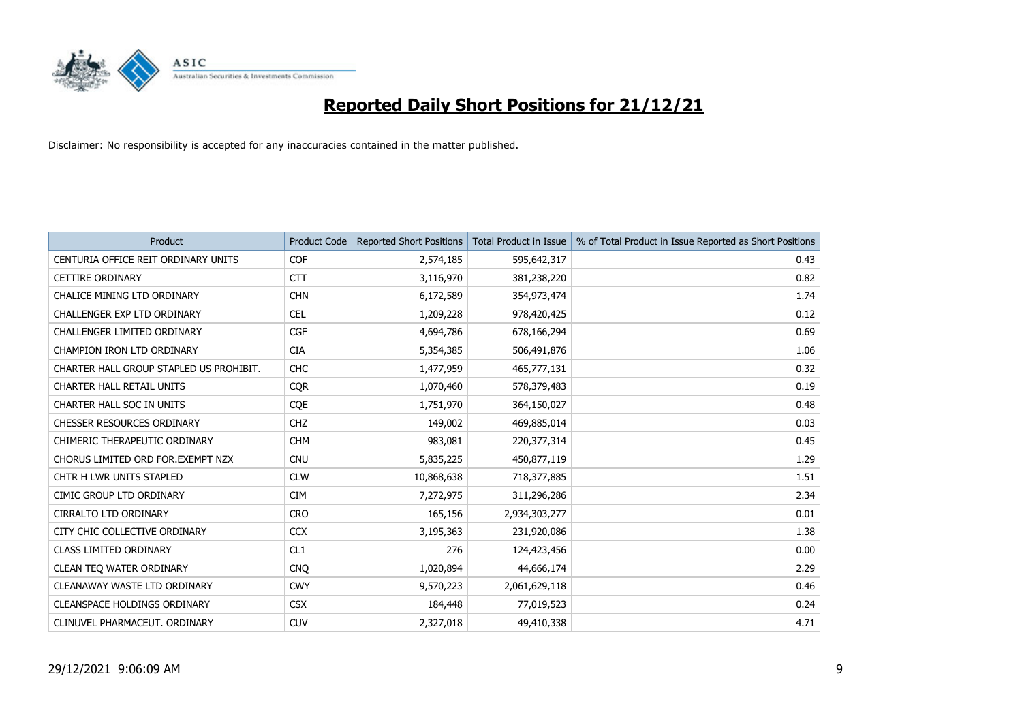

| <b>Product</b>                          | <b>Product Code</b> | <b>Reported Short Positions</b> | <b>Total Product in Issue</b> | % of Total Product in Issue Reported as Short Positions |
|-----------------------------------------|---------------------|---------------------------------|-------------------------------|---------------------------------------------------------|
| CENTURIA OFFICE REIT ORDINARY UNITS     | <b>COF</b>          | 2,574,185                       | 595,642,317                   | 0.43                                                    |
| <b>CETTIRE ORDINARY</b>                 | <b>CTT</b>          | 3,116,970                       | 381,238,220                   | 0.82                                                    |
| CHALICE MINING LTD ORDINARY             | <b>CHN</b>          | 6,172,589                       | 354,973,474                   | 1.74                                                    |
| CHALLENGER EXP LTD ORDINARY             | <b>CEL</b>          | 1,209,228                       | 978,420,425                   | 0.12                                                    |
| CHALLENGER LIMITED ORDINARY             | <b>CGF</b>          | 4,694,786                       | 678,166,294                   | 0.69                                                    |
| CHAMPION IRON LTD ORDINARY              | <b>CIA</b>          | 5,354,385                       | 506,491,876                   | 1.06                                                    |
| CHARTER HALL GROUP STAPLED US PROHIBIT. | <b>CHC</b>          | 1,477,959                       | 465,777,131                   | 0.32                                                    |
| <b>CHARTER HALL RETAIL UNITS</b>        | <b>CQR</b>          | 1,070,460                       | 578,379,483                   | 0.19                                                    |
| CHARTER HALL SOC IN UNITS               | CQE                 | 1,751,970                       | 364,150,027                   | 0.48                                                    |
| CHESSER RESOURCES ORDINARY              | <b>CHZ</b>          | 149,002                         | 469,885,014                   | 0.03                                                    |
| CHIMERIC THERAPEUTIC ORDINARY           | <b>CHM</b>          | 983,081                         | 220,377,314                   | 0.45                                                    |
| CHORUS LIMITED ORD FOR EXEMPT NZX       | <b>CNU</b>          | 5,835,225                       | 450,877,119                   | 1.29                                                    |
| CHTR H LWR UNITS STAPLED                | <b>CLW</b>          | 10,868,638                      | 718,377,885                   | 1.51                                                    |
| CIMIC GROUP LTD ORDINARY                | <b>CIM</b>          | 7,272,975                       | 311,296,286                   | 2.34                                                    |
| <b>CIRRALTO LTD ORDINARY</b>            | <b>CRO</b>          | 165,156                         | 2,934,303,277                 | 0.01                                                    |
| CITY CHIC COLLECTIVE ORDINARY           | <b>CCX</b>          | 3,195,363                       | 231,920,086                   | 1.38                                                    |
| <b>CLASS LIMITED ORDINARY</b>           | CL1                 | 276                             | 124,423,456                   | 0.00                                                    |
| CLEAN TEO WATER ORDINARY                | <b>CNQ</b>          | 1,020,894                       | 44,666,174                    | 2.29                                                    |
| CLEANAWAY WASTE LTD ORDINARY            | <b>CWY</b>          | 9,570,223                       | 2,061,629,118                 | 0.46                                                    |
| <b>CLEANSPACE HOLDINGS ORDINARY</b>     | <b>CSX</b>          | 184,448                         | 77,019,523                    | 0.24                                                    |
| CLINUVEL PHARMACEUT, ORDINARY           | <b>CUV</b>          | 2,327,018                       | 49,410,338                    | 4.71                                                    |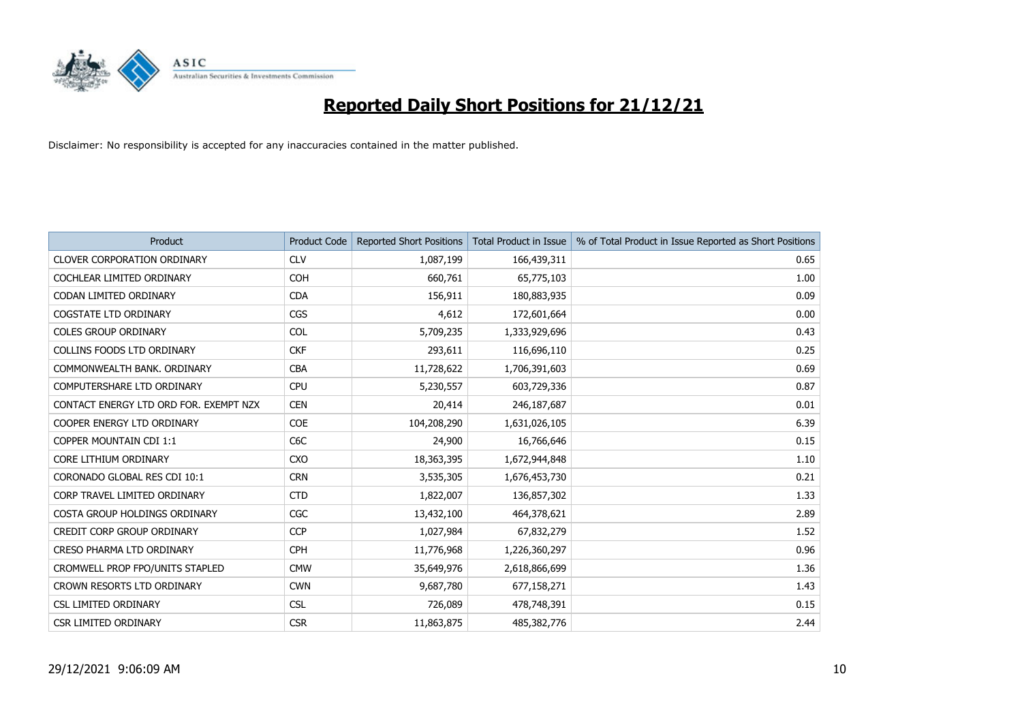

| <b>Product</b>                         | <b>Product Code</b> | <b>Reported Short Positions</b> | <b>Total Product in Issue</b> | % of Total Product in Issue Reported as Short Positions |
|----------------------------------------|---------------------|---------------------------------|-------------------------------|---------------------------------------------------------|
| CLOVER CORPORATION ORDINARY            | <b>CLV</b>          | 1,087,199                       | 166,439,311                   | 0.65                                                    |
| COCHLEAR LIMITED ORDINARY              | <b>COH</b>          | 660,761                         | 65,775,103                    | 1.00                                                    |
| CODAN LIMITED ORDINARY                 | <b>CDA</b>          | 156,911                         | 180,883,935                   | 0.09                                                    |
| <b>COGSTATE LTD ORDINARY</b>           | <b>CGS</b>          | 4,612                           | 172,601,664                   | 0.00                                                    |
| <b>COLES GROUP ORDINARY</b>            | <b>COL</b>          | 5,709,235                       | 1,333,929,696                 | 0.43                                                    |
| <b>COLLINS FOODS LTD ORDINARY</b>      | <b>CKF</b>          | 293,611                         | 116,696,110                   | 0.25                                                    |
| COMMONWEALTH BANK, ORDINARY            | <b>CBA</b>          | 11,728,622                      | 1,706,391,603                 | 0.69                                                    |
| COMPUTERSHARE LTD ORDINARY             | <b>CPU</b>          | 5,230,557                       | 603,729,336                   | 0.87                                                    |
| CONTACT ENERGY LTD ORD FOR. EXEMPT NZX | <b>CEN</b>          | 20,414                          | 246,187,687                   | 0.01                                                    |
| COOPER ENERGY LTD ORDINARY             | <b>COE</b>          | 104,208,290                     | 1,631,026,105                 | 6.39                                                    |
| <b>COPPER MOUNTAIN CDI 1:1</b>         | C <sub>6</sub> C    | 24,900                          | 16,766,646                    | 0.15                                                    |
| CORE LITHIUM ORDINARY                  | <b>CXO</b>          | 18,363,395                      | 1,672,944,848                 | 1.10                                                    |
| CORONADO GLOBAL RES CDI 10:1           | <b>CRN</b>          | 3,535,305                       | 1,676,453,730                 | 0.21                                                    |
| CORP TRAVEL LIMITED ORDINARY           | <b>CTD</b>          | 1,822,007                       | 136,857,302                   | 1.33                                                    |
| COSTA GROUP HOLDINGS ORDINARY          | <b>CGC</b>          | 13,432,100                      | 464,378,621                   | 2.89                                                    |
| CREDIT CORP GROUP ORDINARY             | <b>CCP</b>          | 1,027,984                       | 67,832,279                    | 1.52                                                    |
| CRESO PHARMA LTD ORDINARY              | <b>CPH</b>          | 11,776,968                      | 1,226,360,297                 | 0.96                                                    |
| CROMWELL PROP FPO/UNITS STAPLED        | <b>CMW</b>          | 35,649,976                      | 2,618,866,699                 | 1.36                                                    |
| CROWN RESORTS LTD ORDINARY             | <b>CWN</b>          | 9,687,780                       | 677,158,271                   | 1.43                                                    |
| <b>CSL LIMITED ORDINARY</b>            | <b>CSL</b>          | 726,089                         | 478,748,391                   | 0.15                                                    |
| <b>CSR LIMITED ORDINARY</b>            | <b>CSR</b>          | 11,863,875                      | 485,382,776                   | 2.44                                                    |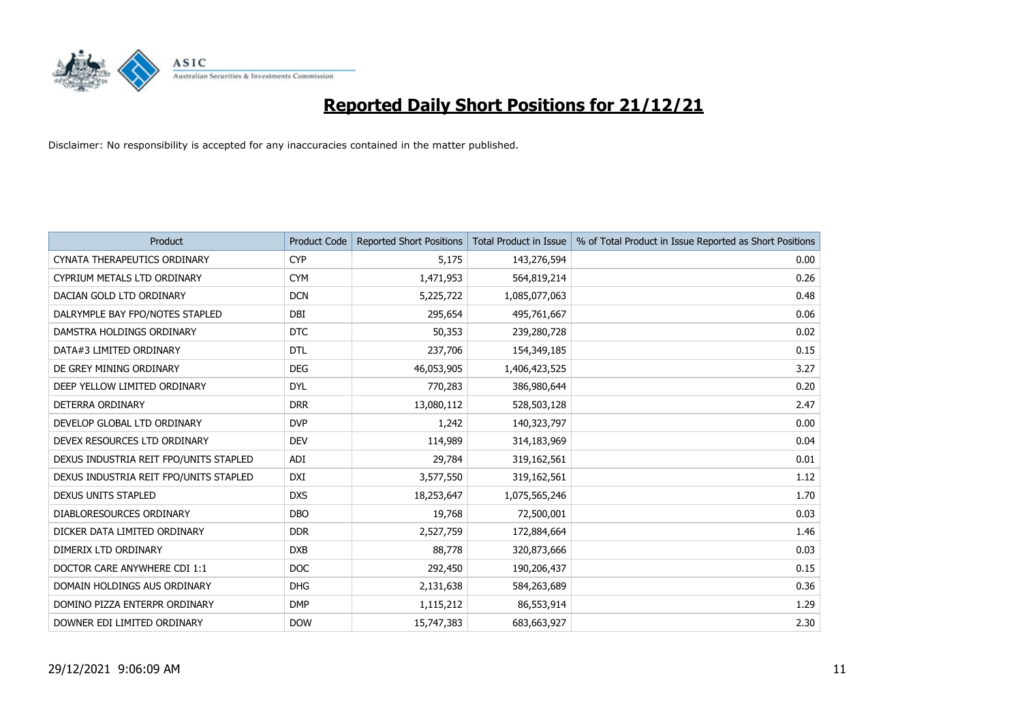

| <b>Product</b>                         | <b>Product Code</b> | <b>Reported Short Positions</b> | <b>Total Product in Issue</b> | % of Total Product in Issue Reported as Short Positions |
|----------------------------------------|---------------------|---------------------------------|-------------------------------|---------------------------------------------------------|
| CYNATA THERAPEUTICS ORDINARY           | <b>CYP</b>          | 5,175                           | 143,276,594                   | 0.00                                                    |
| CYPRIUM METALS LTD ORDINARY            | <b>CYM</b>          | 1,471,953                       | 564,819,214                   | 0.26                                                    |
| DACIAN GOLD LTD ORDINARY               | <b>DCN</b>          | 5,225,722                       | 1,085,077,063                 | 0.48                                                    |
| DALRYMPLE BAY FPO/NOTES STAPLED        | DBI                 | 295,654                         | 495,761,667                   | 0.06                                                    |
| DAMSTRA HOLDINGS ORDINARY              | <b>DTC</b>          | 50,353                          | 239,280,728                   | 0.02                                                    |
| DATA#3 LIMITED ORDINARY                | <b>DTL</b>          | 237,706                         | 154,349,185                   | 0.15                                                    |
| DE GREY MINING ORDINARY                | <b>DEG</b>          | 46,053,905                      | 1,406,423,525                 | 3.27                                                    |
| DEEP YELLOW LIMITED ORDINARY           | <b>DYL</b>          | 770,283                         | 386,980,644                   | 0.20                                                    |
| DETERRA ORDINARY                       | <b>DRR</b>          | 13,080,112                      | 528,503,128                   | 2.47                                                    |
| DEVELOP GLOBAL LTD ORDINARY            | <b>DVP</b>          | 1,242                           | 140,323,797                   | 0.00                                                    |
| DEVEX RESOURCES LTD ORDINARY           | <b>DEV</b>          | 114,989                         | 314,183,969                   | 0.04                                                    |
| DEXUS INDUSTRIA REIT FPO/UNITS STAPLED | ADI                 | 29,784                          | 319,162,561                   | 0.01                                                    |
| DEXUS INDUSTRIA REIT FPO/UNITS STAPLED | <b>DXI</b>          | 3,577,550                       | 319,162,561                   | 1.12                                                    |
| DEXUS UNITS STAPLED                    | <b>DXS</b>          | 18,253,647                      | 1,075,565,246                 | 1.70                                                    |
| DIABLORESOURCES ORDINARY               | <b>DBO</b>          | 19,768                          | 72,500,001                    | 0.03                                                    |
| DICKER DATA LIMITED ORDINARY           | <b>DDR</b>          | 2,527,759                       | 172,884,664                   | 1.46                                                    |
| DIMERIX LTD ORDINARY                   | <b>DXB</b>          | 88,778                          | 320,873,666                   | 0.03                                                    |
| DOCTOR CARE ANYWHERE CDI 1:1           | <b>DOC</b>          | 292,450                         | 190,206,437                   | 0.15                                                    |
| DOMAIN HOLDINGS AUS ORDINARY           | <b>DHG</b>          | 2,131,638                       | 584,263,689                   | 0.36                                                    |
| DOMINO PIZZA ENTERPR ORDINARY          | <b>DMP</b>          | 1,115,212                       | 86,553,914                    | 1.29                                                    |
| DOWNER EDI LIMITED ORDINARY            | <b>DOW</b>          | 15,747,383                      | 683,663,927                   | 2.30                                                    |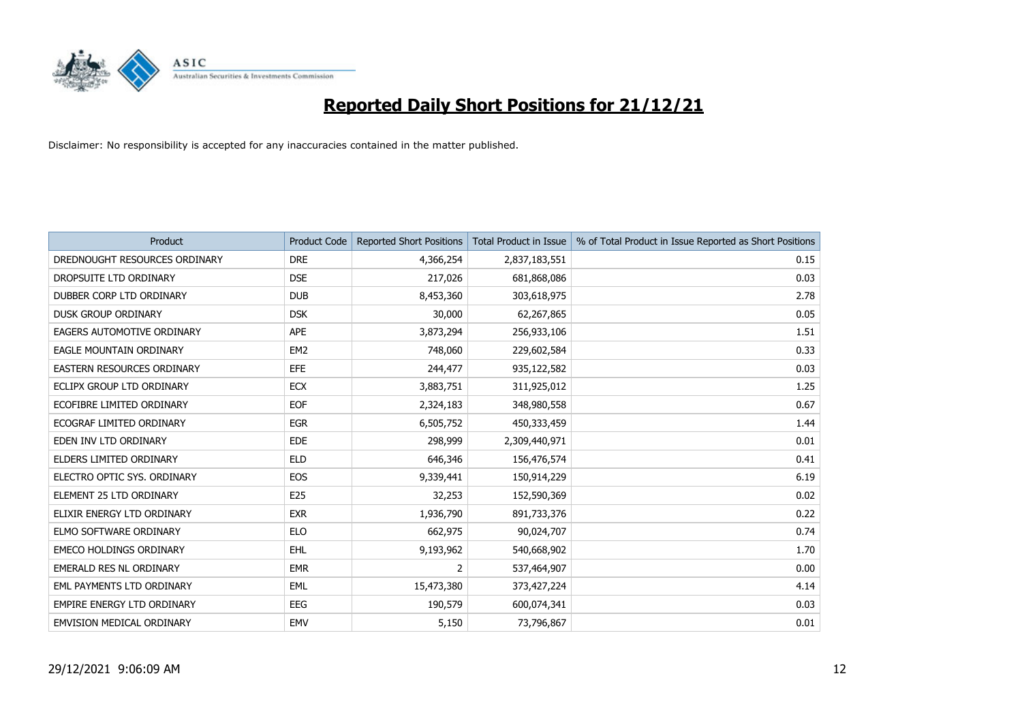

| Product                          | <b>Product Code</b> | <b>Reported Short Positions</b> | <b>Total Product in Issue</b> | % of Total Product in Issue Reported as Short Positions |
|----------------------------------|---------------------|---------------------------------|-------------------------------|---------------------------------------------------------|
| DREDNOUGHT RESOURCES ORDINARY    | <b>DRE</b>          | 4,366,254                       | 2,837,183,551                 | 0.15                                                    |
| DROPSUITE LTD ORDINARY           | <b>DSE</b>          | 217,026                         | 681,868,086                   | 0.03                                                    |
| DUBBER CORP LTD ORDINARY         | <b>DUB</b>          | 8,453,360                       | 303,618,975                   | 2.78                                                    |
| <b>DUSK GROUP ORDINARY</b>       | <b>DSK</b>          | 30,000                          | 62,267,865                    | 0.05                                                    |
| EAGERS AUTOMOTIVE ORDINARY       | <b>APE</b>          | 3,873,294                       | 256,933,106                   | 1.51                                                    |
| EAGLE MOUNTAIN ORDINARY          | EM <sub>2</sub>     | 748,060                         | 229,602,584                   | 0.33                                                    |
| EASTERN RESOURCES ORDINARY       | <b>EFE</b>          | 244,477                         | 935,122,582                   | 0.03                                                    |
| ECLIPX GROUP LTD ORDINARY        | <b>ECX</b>          | 3,883,751                       | 311,925,012                   | 1.25                                                    |
| ECOFIBRE LIMITED ORDINARY        | <b>EOF</b>          | 2,324,183                       | 348,980,558                   | 0.67                                                    |
| ECOGRAF LIMITED ORDINARY         | <b>EGR</b>          | 6,505,752                       | 450,333,459                   | 1.44                                                    |
| EDEN INV LTD ORDINARY            | <b>EDE</b>          | 298,999                         | 2,309,440,971                 | 0.01                                                    |
| ELDERS LIMITED ORDINARY          | <b>ELD</b>          | 646,346                         | 156,476,574                   | 0.41                                                    |
| ELECTRO OPTIC SYS. ORDINARY      | <b>EOS</b>          | 9,339,441                       | 150,914,229                   | 6.19                                                    |
| ELEMENT 25 LTD ORDINARY          | E25                 | 32,253                          | 152,590,369                   | 0.02                                                    |
| ELIXIR ENERGY LTD ORDINARY       | <b>EXR</b>          | 1,936,790                       | 891,733,376                   | 0.22                                                    |
| ELMO SOFTWARE ORDINARY           | <b>ELO</b>          | 662,975                         | 90,024,707                    | 0.74                                                    |
| <b>EMECO HOLDINGS ORDINARY</b>   | EHL                 | 9,193,962                       | 540,668,902                   | 1.70                                                    |
| EMERALD RES NL ORDINARY          | <b>EMR</b>          | 2                               | 537,464,907                   | 0.00                                                    |
| EML PAYMENTS LTD ORDINARY        | EML                 | 15,473,380                      | 373,427,224                   | 4.14                                                    |
| EMPIRE ENERGY LTD ORDINARY       | <b>EEG</b>          | 190,579                         | 600,074,341                   | 0.03                                                    |
| <b>EMVISION MEDICAL ORDINARY</b> | EMV                 | 5,150                           | 73,796,867                    | 0.01                                                    |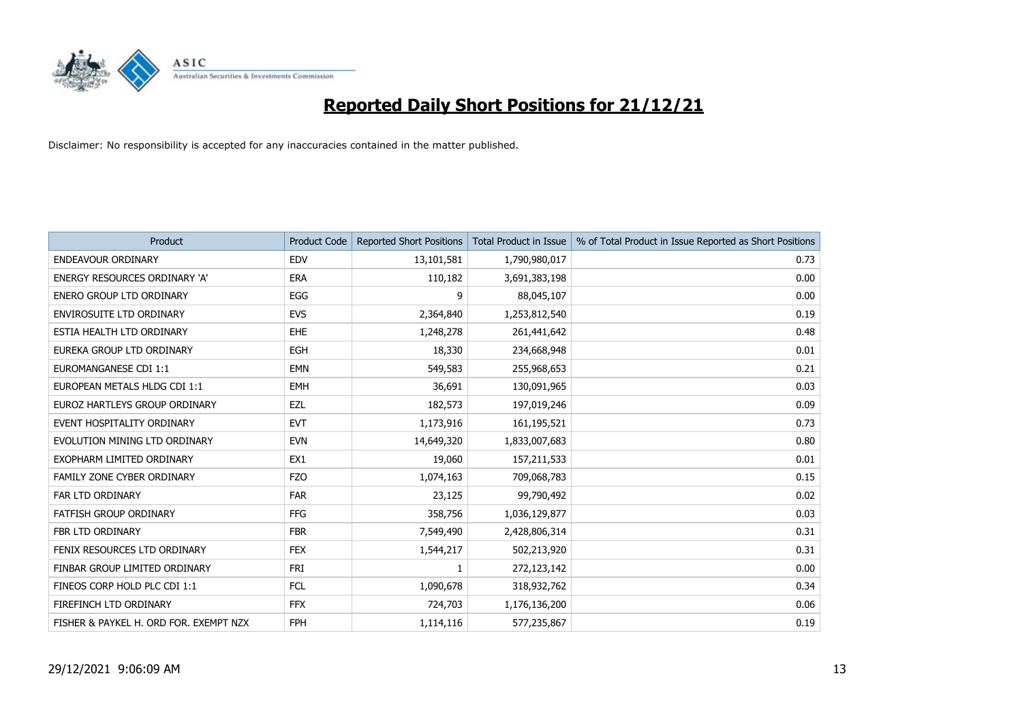

| Product                                | <b>Product Code</b> | <b>Reported Short Positions</b> | <b>Total Product in Issue</b> | % of Total Product in Issue Reported as Short Positions |
|----------------------------------------|---------------------|---------------------------------|-------------------------------|---------------------------------------------------------|
| ENDEAVOUR ORDINARY                     | <b>EDV</b>          | 13,101,581                      | 1,790,980,017                 | 0.73                                                    |
| ENERGY RESOURCES ORDINARY 'A'          | <b>ERA</b>          | 110,182                         | 3,691,383,198                 | 0.00                                                    |
| ENERO GROUP LTD ORDINARY               | <b>EGG</b>          | 9                               | 88,045,107                    | 0.00                                                    |
| ENVIROSUITE LTD ORDINARY               | <b>EVS</b>          | 2,364,840                       | 1,253,812,540                 | 0.19                                                    |
| ESTIA HEALTH LTD ORDINARY              | <b>EHE</b>          | 1,248,278                       | 261,441,642                   | 0.48                                                    |
| EUREKA GROUP LTD ORDINARY              | <b>EGH</b>          | 18,330                          | 234,668,948                   | 0.01                                                    |
| <b>EUROMANGANESE CDI 1:1</b>           | <b>EMN</b>          | 549,583                         | 255,968,653                   | 0.21                                                    |
| EUROPEAN METALS HLDG CDI 1:1           | <b>EMH</b>          | 36,691                          | 130,091,965                   | 0.03                                                    |
| EUROZ HARTLEYS GROUP ORDINARY          | <b>EZL</b>          | 182,573                         | 197,019,246                   | 0.09                                                    |
| EVENT HOSPITALITY ORDINARY             | <b>EVT</b>          | 1,173,916                       | 161,195,521                   | 0.73                                                    |
| EVOLUTION MINING LTD ORDINARY          | <b>EVN</b>          | 14,649,320                      | 1,833,007,683                 | 0.80                                                    |
| EXOPHARM LIMITED ORDINARY              | EX1                 | 19,060                          | 157,211,533                   | 0.01                                                    |
| FAMILY ZONE CYBER ORDINARY             | <b>FZO</b>          | 1,074,163                       | 709,068,783                   | 0.15                                                    |
| FAR LTD ORDINARY                       | <b>FAR</b>          | 23,125                          | 99,790,492                    | 0.02                                                    |
| <b>FATFISH GROUP ORDINARY</b>          | <b>FFG</b>          | 358,756                         | 1,036,129,877                 | 0.03                                                    |
| FBR LTD ORDINARY                       | <b>FBR</b>          | 7,549,490                       | 2,428,806,314                 | 0.31                                                    |
| FENIX RESOURCES LTD ORDINARY           | <b>FEX</b>          | 1,544,217                       | 502,213,920                   | 0.31                                                    |
| FINBAR GROUP LIMITED ORDINARY          | <b>FRI</b>          |                                 | 272,123,142                   | 0.00                                                    |
| FINEOS CORP HOLD PLC CDI 1:1           | <b>FCL</b>          | 1,090,678                       | 318,932,762                   | 0.34                                                    |
| FIREFINCH LTD ORDINARY                 | <b>FFX</b>          | 724,703                         | 1,176,136,200                 | 0.06                                                    |
| FISHER & PAYKEL H. ORD FOR. EXEMPT NZX | <b>FPH</b>          | 1,114,116                       | 577,235,867                   | 0.19                                                    |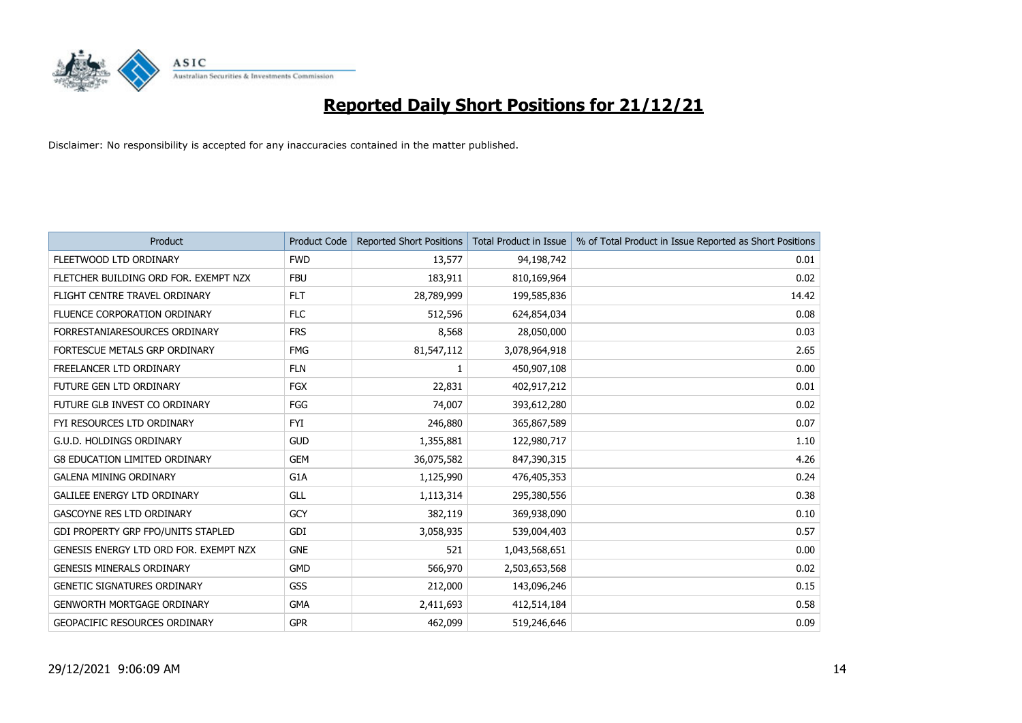

| <b>Product</b>                         | <b>Product Code</b> | <b>Reported Short Positions</b> | <b>Total Product in Issue</b> | % of Total Product in Issue Reported as Short Positions |
|----------------------------------------|---------------------|---------------------------------|-------------------------------|---------------------------------------------------------|
| FLEETWOOD LTD ORDINARY                 | <b>FWD</b>          | 13,577                          | 94,198,742                    | 0.01                                                    |
| FLETCHER BUILDING ORD FOR. EXEMPT NZX  | <b>FBU</b>          | 183,911                         | 810,169,964                   | 0.02                                                    |
| FLIGHT CENTRE TRAVEL ORDINARY          | <b>FLT</b>          | 28,789,999                      | 199,585,836                   | 14.42                                                   |
| FLUENCE CORPORATION ORDINARY           | <b>FLC</b>          | 512,596                         | 624,854,034                   | 0.08                                                    |
| FORRESTANIARESOURCES ORDINARY          | <b>FRS</b>          | 8,568                           | 28,050,000                    | 0.03                                                    |
| FORTESCUE METALS GRP ORDINARY          | <b>FMG</b>          | 81,547,112                      | 3,078,964,918                 | 2.65                                                    |
| FREELANCER LTD ORDINARY                | <b>FLN</b>          | 1                               | 450,907,108                   | 0.00                                                    |
| FUTURE GEN LTD ORDINARY                | <b>FGX</b>          | 22,831                          | 402,917,212                   | 0.01                                                    |
| FUTURE GLB INVEST CO ORDINARY          | FGG                 | 74,007                          | 393,612,280                   | 0.02                                                    |
| FYI RESOURCES LTD ORDINARY             | <b>FYI</b>          | 246,880                         | 365,867,589                   | 0.07                                                    |
| G.U.D. HOLDINGS ORDINARY               | <b>GUD</b>          | 1,355,881                       | 122,980,717                   | 1.10                                                    |
| <b>G8 EDUCATION LIMITED ORDINARY</b>   | <b>GEM</b>          | 36,075,582                      | 847,390,315                   | 4.26                                                    |
| <b>GALENA MINING ORDINARY</b>          | G1A                 | 1,125,990                       | 476,405,353                   | 0.24                                                    |
| <b>GALILEE ENERGY LTD ORDINARY</b>     | GLL                 | 1,113,314                       | 295,380,556                   | 0.38                                                    |
| <b>GASCOYNE RES LTD ORDINARY</b>       | <b>GCY</b>          | 382,119                         | 369,938,090                   | 0.10                                                    |
| GDI PROPERTY GRP FPO/UNITS STAPLED     | GDI                 | 3,058,935                       | 539,004,403                   | 0.57                                                    |
| GENESIS ENERGY LTD ORD FOR. EXEMPT NZX | <b>GNE</b>          | 521                             | 1,043,568,651                 | 0.00                                                    |
| <b>GENESIS MINERALS ORDINARY</b>       | <b>GMD</b>          | 566,970                         | 2,503,653,568                 | 0.02                                                    |
| GENETIC SIGNATURES ORDINARY            | <b>GSS</b>          | 212,000                         | 143,096,246                   | 0.15                                                    |
| <b>GENWORTH MORTGAGE ORDINARY</b>      | <b>GMA</b>          | 2,411,693                       | 412,514,184                   | 0.58                                                    |
| GEOPACIFIC RESOURCES ORDINARY          | <b>GPR</b>          | 462,099                         | 519,246,646                   | 0.09                                                    |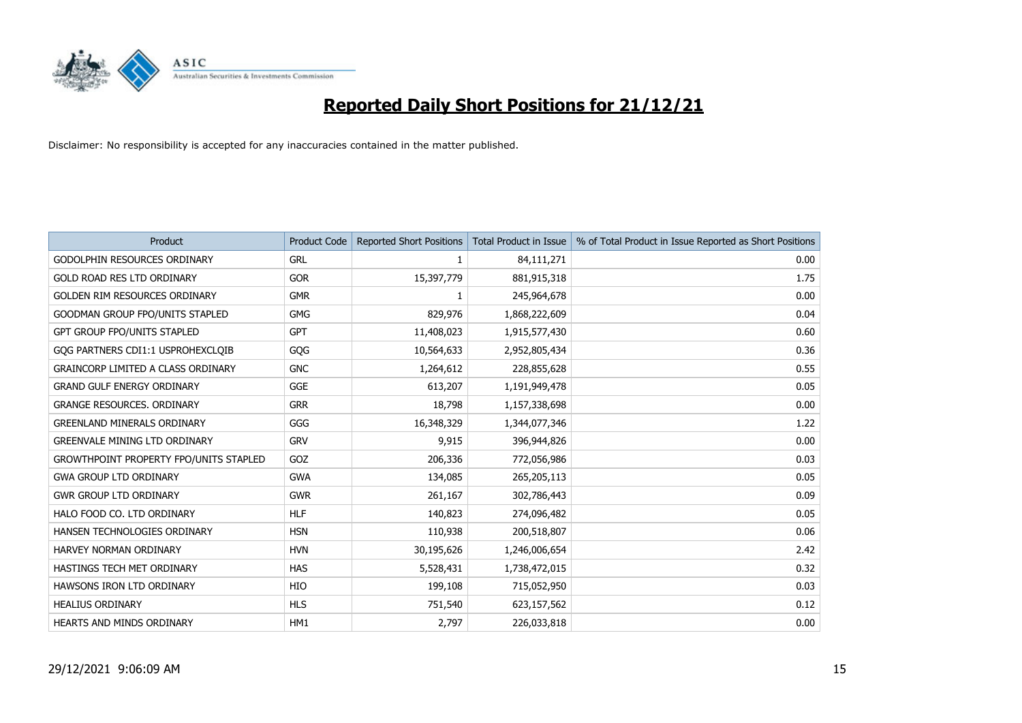

| Product                                   | <b>Product Code</b> | <b>Reported Short Positions</b> | <b>Total Product in Issue</b> | % of Total Product in Issue Reported as Short Positions |
|-------------------------------------------|---------------------|---------------------------------|-------------------------------|---------------------------------------------------------|
| GODOLPHIN RESOURCES ORDINARY              | <b>GRL</b>          |                                 | 84,111,271                    | 0.00                                                    |
| <b>GOLD ROAD RES LTD ORDINARY</b>         | <b>GOR</b>          | 15,397,779                      | 881,915,318                   | 1.75                                                    |
| GOLDEN RIM RESOURCES ORDINARY             | <b>GMR</b>          |                                 | 245,964,678                   | 0.00                                                    |
| GOODMAN GROUP FPO/UNITS STAPLED           | <b>GMG</b>          | 829,976                         | 1,868,222,609                 | 0.04                                                    |
| GPT GROUP FPO/UNITS STAPLED               | <b>GPT</b>          | 11,408,023                      | 1,915,577,430                 | 0.60                                                    |
| GOG PARTNERS CDI1:1 USPROHEXCLOIB         | GQG                 | 10,564,633                      | 2,952,805,434                 | 0.36                                                    |
| <b>GRAINCORP LIMITED A CLASS ORDINARY</b> | <b>GNC</b>          | 1,264,612                       | 228,855,628                   | 0.55                                                    |
| <b>GRAND GULF ENERGY ORDINARY</b>         | <b>GGE</b>          | 613,207                         | 1,191,949,478                 | 0.05                                                    |
| <b>GRANGE RESOURCES, ORDINARY</b>         | <b>GRR</b>          | 18,798                          | 1,157,338,698                 | 0.00                                                    |
| <b>GREENLAND MINERALS ORDINARY</b>        | GGG                 | 16,348,329                      | 1,344,077,346                 | 1.22                                                    |
| GREENVALE MINING LTD ORDINARY             | <b>GRV</b>          | 9,915                           | 396,944,826                   | 0.00                                                    |
| GROWTHPOINT PROPERTY FPO/UNITS STAPLED    | GOZ                 | 206,336                         | 772,056,986                   | 0.03                                                    |
| <b>GWA GROUP LTD ORDINARY</b>             | <b>GWA</b>          | 134,085                         | 265,205,113                   | 0.05                                                    |
| GWR GROUP LTD ORDINARY                    | <b>GWR</b>          | 261,167                         | 302,786,443                   | 0.09                                                    |
| HALO FOOD CO. LTD ORDINARY                | <b>HLF</b>          | 140,823                         | 274,096,482                   | 0.05                                                    |
| HANSEN TECHNOLOGIES ORDINARY              | <b>HSN</b>          | 110,938                         | 200,518,807                   | 0.06                                                    |
| HARVEY NORMAN ORDINARY                    | <b>HVN</b>          | 30,195,626                      | 1,246,006,654                 | 2.42                                                    |
| HASTINGS TECH MET ORDINARY                | <b>HAS</b>          | 5,528,431                       | 1,738,472,015                 | 0.32                                                    |
| HAWSONS IRON LTD ORDINARY                 | HIO                 | 199,108                         | 715,052,950                   | 0.03                                                    |
| <b>HEALIUS ORDINARY</b>                   | <b>HLS</b>          | 751,540                         | 623,157,562                   | 0.12                                                    |
| HEARTS AND MINDS ORDINARY                 | HM1                 | 2,797                           | 226,033,818                   | 0.00                                                    |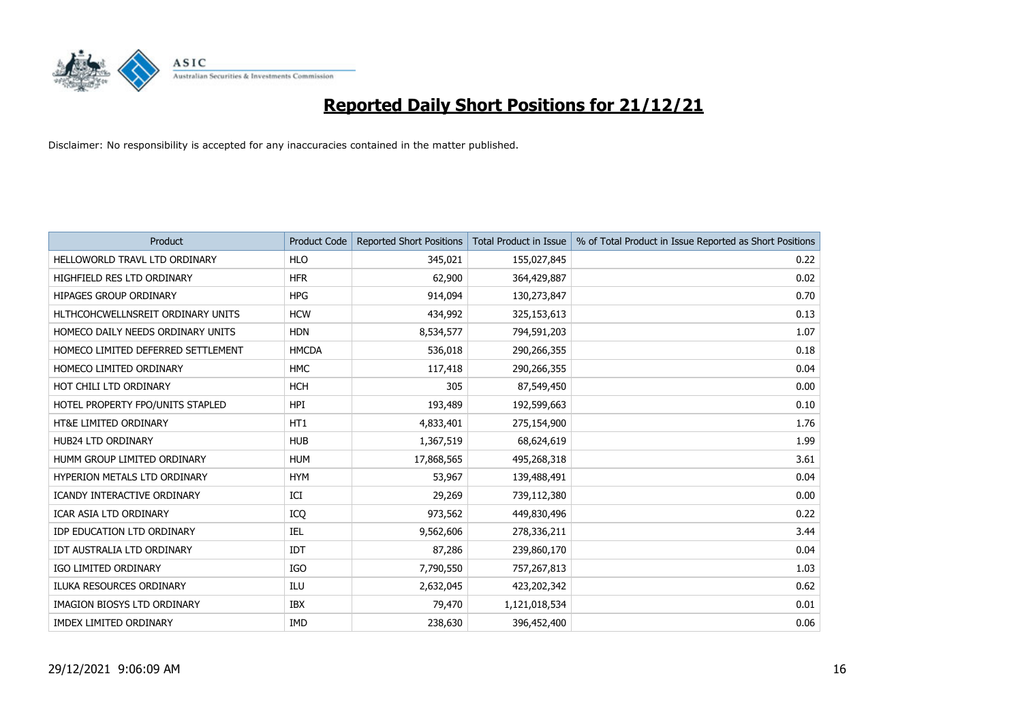

| <b>Product</b>                      | <b>Product Code</b> | <b>Reported Short Positions</b> | <b>Total Product in Issue</b> | % of Total Product in Issue Reported as Short Positions |
|-------------------------------------|---------------------|---------------------------------|-------------------------------|---------------------------------------------------------|
| HELLOWORLD TRAVL LTD ORDINARY       | <b>HLO</b>          | 345,021                         | 155,027,845                   | 0.22                                                    |
| HIGHFIELD RES LTD ORDINARY          | <b>HFR</b>          | 62,900                          | 364,429,887                   | 0.02                                                    |
| HIPAGES GROUP ORDINARY              | <b>HPG</b>          | 914,094                         | 130,273,847                   | 0.70                                                    |
| HLTHCOHCWELLNSREIT ORDINARY UNITS   | <b>HCW</b>          | 434,992                         | 325,153,613                   | 0.13                                                    |
| HOMECO DAILY NEEDS ORDINARY UNITS   | <b>HDN</b>          | 8,534,577                       | 794,591,203                   | 1.07                                                    |
| HOMECO LIMITED DEFERRED SETTLEMENT  | <b>HMCDA</b>        | 536,018                         | 290,266,355                   | 0.18                                                    |
| HOMECO LIMITED ORDINARY             | <b>HMC</b>          | 117,418                         | 290,266,355                   | 0.04                                                    |
| HOT CHILI LTD ORDINARY              | <b>HCH</b>          | 305                             | 87,549,450                    | 0.00                                                    |
| HOTEL PROPERTY FPO/UNITS STAPLED    | <b>HPI</b>          | 193,489                         | 192,599,663                   | 0.10                                                    |
| HT&E LIMITED ORDINARY               | HT1                 | 4,833,401                       | 275,154,900                   | 1.76                                                    |
| <b>HUB24 LTD ORDINARY</b>           | <b>HUB</b>          | 1,367,519                       | 68,624,619                    | 1.99                                                    |
| HUMM GROUP LIMITED ORDINARY         | <b>HUM</b>          | 17,868,565                      | 495,268,318                   | 3.61                                                    |
| <b>HYPERION METALS LTD ORDINARY</b> | <b>HYM</b>          | 53,967                          | 139,488,491                   | 0.04                                                    |
| ICANDY INTERACTIVE ORDINARY         | ICI                 | 29,269                          | 739,112,380                   | 0.00                                                    |
| ICAR ASIA LTD ORDINARY              | ICQ                 | 973,562                         | 449,830,496                   | 0.22                                                    |
| IDP EDUCATION LTD ORDINARY          | IEL                 | 9,562,606                       | 278,336,211                   | 3.44                                                    |
| IDT AUSTRALIA LTD ORDINARY          | IDT                 | 87,286                          | 239,860,170                   | 0.04                                                    |
| IGO LIMITED ORDINARY                | IGO                 | 7,790,550                       | 757,267,813                   | 1.03                                                    |
| ILUKA RESOURCES ORDINARY            | ILU                 | 2,632,045                       | 423,202,342                   | 0.62                                                    |
| IMAGION BIOSYS LTD ORDINARY         | <b>IBX</b>          | 79,470                          | 1,121,018,534                 | 0.01                                                    |
| IMDEX LIMITED ORDINARY              | <b>IMD</b>          | 238,630                         | 396,452,400                   | 0.06                                                    |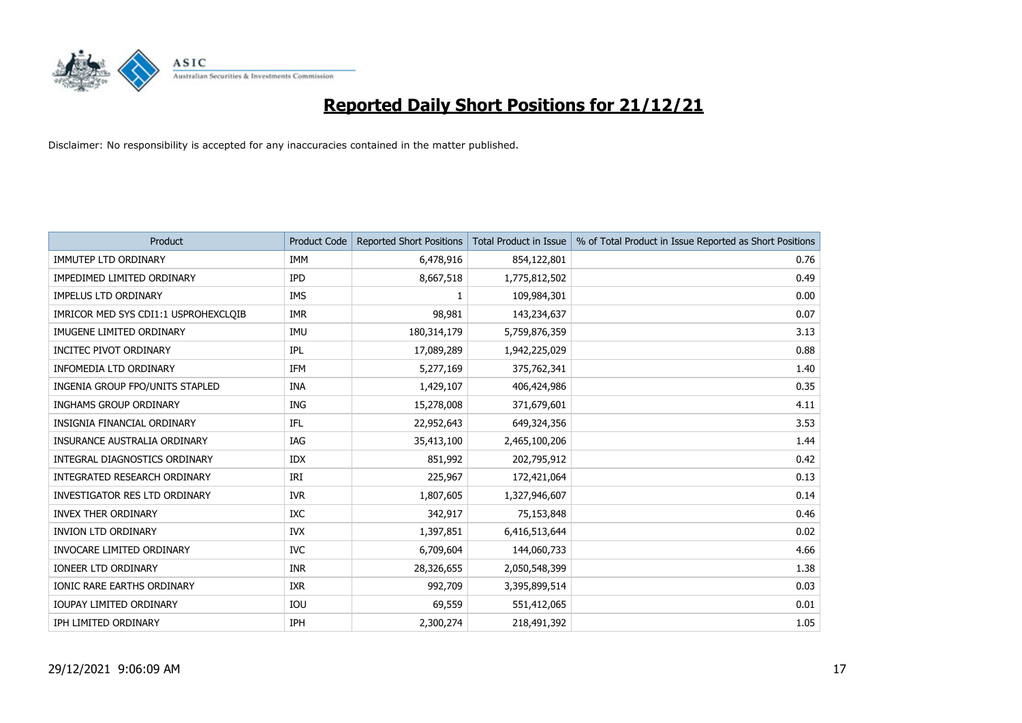

| <b>Product</b>                       | <b>Product Code</b> | <b>Reported Short Positions</b> | <b>Total Product in Issue</b> | % of Total Product in Issue Reported as Short Positions |
|--------------------------------------|---------------------|---------------------------------|-------------------------------|---------------------------------------------------------|
| IMMUTEP LTD ORDINARY                 | IMM                 | 6,478,916                       | 854,122,801                   | 0.76                                                    |
| IMPEDIMED LIMITED ORDINARY           | <b>IPD</b>          | 8,667,518                       | 1,775,812,502                 | 0.49                                                    |
| IMPELUS LTD ORDINARY                 | <b>IMS</b>          | 1                               | 109,984,301                   | 0.00                                                    |
| IMRICOR MED SYS CDI1:1 USPROHEXCLOIB | <b>IMR</b>          | 98,981                          | 143,234,637                   | 0.07                                                    |
| IMUGENE LIMITED ORDINARY             | IMU                 | 180,314,179                     | 5,759,876,359                 | 3.13                                                    |
| <b>INCITEC PIVOT ORDINARY</b>        | <b>IPL</b>          | 17,089,289                      | 1,942,225,029                 | 0.88                                                    |
| INFOMEDIA LTD ORDINARY               | IFM                 | 5,277,169                       | 375,762,341                   | 1.40                                                    |
| INGENIA GROUP FPO/UNITS STAPLED      | <b>INA</b>          | 1,429,107                       | 406,424,986                   | 0.35                                                    |
| <b>INGHAMS GROUP ORDINARY</b>        | <b>ING</b>          | 15,278,008                      | 371,679,601                   | 4.11                                                    |
| INSIGNIA FINANCIAL ORDINARY          | IFL                 | 22,952,643                      | 649,324,356                   | 3.53                                                    |
| INSURANCE AUSTRALIA ORDINARY         | IAG                 | 35,413,100                      | 2,465,100,206                 | 1.44                                                    |
| INTEGRAL DIAGNOSTICS ORDINARY        | <b>IDX</b>          | 851,992                         | 202,795,912                   | 0.42                                                    |
| INTEGRATED RESEARCH ORDINARY         | IRI                 | 225,967                         | 172,421,064                   | 0.13                                                    |
| INVESTIGATOR RES LTD ORDINARY        | <b>IVR</b>          | 1,807,605                       | 1,327,946,607                 | 0.14                                                    |
| <b>INVEX THER ORDINARY</b>           | IXC                 | 342,917                         | 75,153,848                    | 0.46                                                    |
| <b>INVION LTD ORDINARY</b>           | <b>IVX</b>          | 1,397,851                       | 6,416,513,644                 | 0.02                                                    |
| INVOCARE LIMITED ORDINARY            | <b>IVC</b>          | 6,709,604                       | 144,060,733                   | 4.66                                                    |
| IONEER LTD ORDINARY                  | <b>INR</b>          | 28,326,655                      | 2,050,548,399                 | 1.38                                                    |
| IONIC RARE EARTHS ORDINARY           | <b>IXR</b>          | 992,709                         | 3,395,899,514                 | 0.03                                                    |
| IOUPAY LIMITED ORDINARY              | IOU                 | 69,559                          | 551,412,065                   | 0.01                                                    |
| IPH LIMITED ORDINARY                 | <b>IPH</b>          | 2,300,274                       | 218,491,392                   | 1.05                                                    |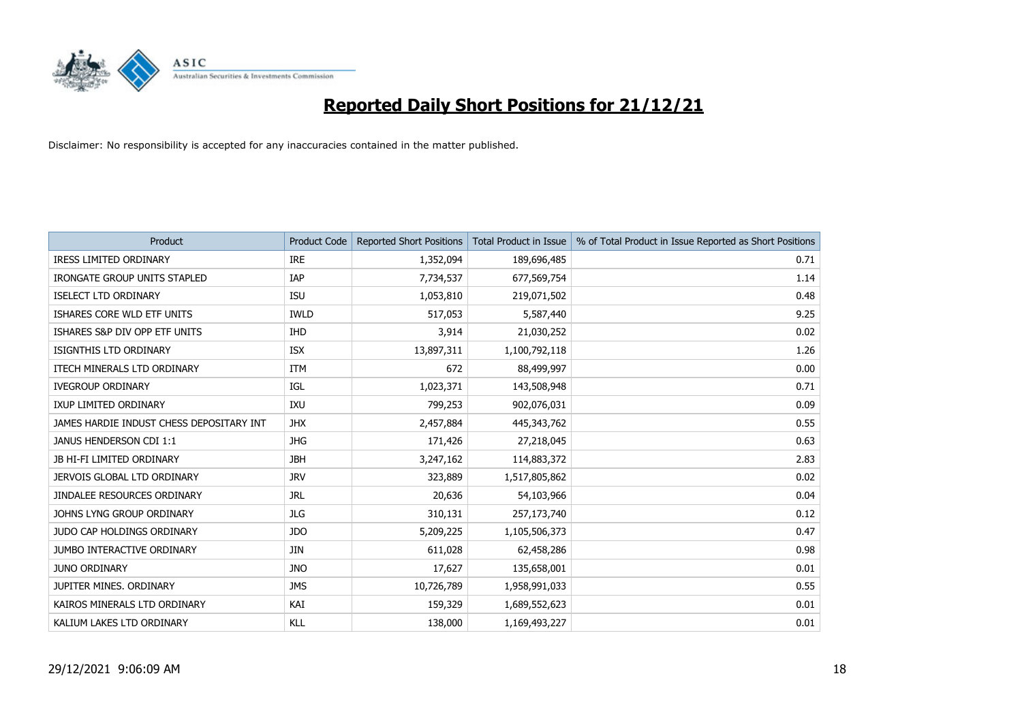

| Product                                  | <b>Product Code</b> | <b>Reported Short Positions</b> | <b>Total Product in Issue</b> | % of Total Product in Issue Reported as Short Positions |
|------------------------------------------|---------------------|---------------------------------|-------------------------------|---------------------------------------------------------|
| <b>IRESS LIMITED ORDINARY</b>            | <b>IRE</b>          | 1,352,094                       | 189,696,485                   | 0.71                                                    |
| <b>IRONGATE GROUP UNITS STAPLED</b>      | IAP                 | 7,734,537                       | 677,569,754                   | 1.14                                                    |
| <b>ISELECT LTD ORDINARY</b>              | <b>ISU</b>          | 1,053,810                       | 219,071,502                   | 0.48                                                    |
| ISHARES CORE WLD ETF UNITS               | <b>IWLD</b>         | 517,053                         | 5,587,440                     | 9.25                                                    |
| ISHARES S&P DIV OPP ETF UNITS            | <b>IHD</b>          | 3,914                           | 21,030,252                    | 0.02                                                    |
| ISIGNTHIS LTD ORDINARY                   | <b>ISX</b>          | 13,897,311                      | 1,100,792,118                 | 1.26                                                    |
| ITECH MINERALS LTD ORDINARY              | <b>ITM</b>          | 672                             | 88,499,997                    | 0.00                                                    |
| <b>IVEGROUP ORDINARY</b>                 | IGL                 | 1,023,371                       | 143,508,948                   | 0.71                                                    |
| IXUP LIMITED ORDINARY                    | IXU                 | 799,253                         | 902,076,031                   | 0.09                                                    |
| JAMES HARDIE INDUST CHESS DEPOSITARY INT | <b>JHX</b>          | 2,457,884                       | 445,343,762                   | 0.55                                                    |
| JANUS HENDERSON CDI 1:1                  | <b>JHG</b>          | 171,426                         | 27,218,045                    | 0.63                                                    |
| JB HI-FI LIMITED ORDINARY                | <b>JBH</b>          | 3,247,162                       | 114,883,372                   | 2.83                                                    |
| JERVOIS GLOBAL LTD ORDINARY              | <b>JRV</b>          | 323,889                         | 1,517,805,862                 | 0.02                                                    |
| JINDALEE RESOURCES ORDINARY              | <b>JRL</b>          | 20,636                          | 54,103,966                    | 0.04                                                    |
| JOHNS LYNG GROUP ORDINARY                | <b>JLG</b>          | 310,131                         | 257,173,740                   | 0.12                                                    |
| JUDO CAP HOLDINGS ORDINARY               | <b>JDO</b>          | 5,209,225                       | 1,105,506,373                 | 0.47                                                    |
| JUMBO INTERACTIVE ORDINARY               | JIN                 | 611,028                         | 62,458,286                    | 0.98                                                    |
| <b>JUNO ORDINARY</b>                     | <b>JNO</b>          | 17,627                          | 135,658,001                   | 0.01                                                    |
| JUPITER MINES. ORDINARY                  | <b>JMS</b>          | 10,726,789                      | 1,958,991,033                 | 0.55                                                    |
| KAIROS MINERALS LTD ORDINARY             | KAI                 | 159,329                         | 1,689,552,623                 | 0.01                                                    |
| KALIUM LAKES LTD ORDINARY                | <b>KLL</b>          | 138,000                         | 1,169,493,227                 | 0.01                                                    |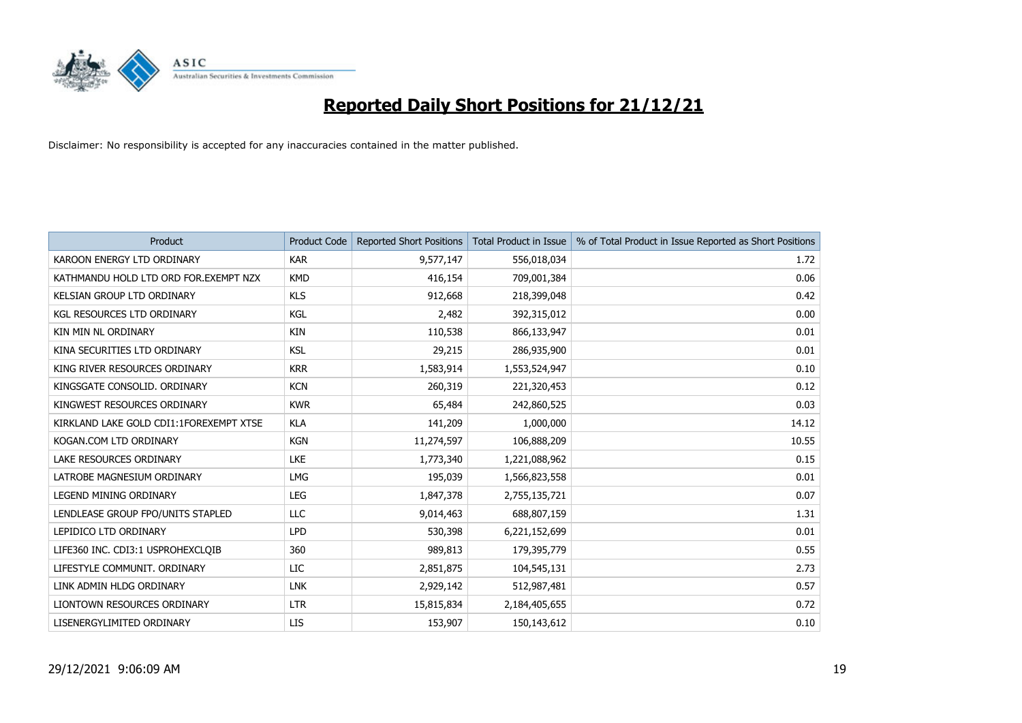

| Product                                 | <b>Product Code</b> | <b>Reported Short Positions</b> | <b>Total Product in Issue</b> | % of Total Product in Issue Reported as Short Positions |
|-----------------------------------------|---------------------|---------------------------------|-------------------------------|---------------------------------------------------------|
| KAROON ENERGY LTD ORDINARY              | <b>KAR</b>          | 9,577,147                       | 556,018,034                   | 1.72                                                    |
| KATHMANDU HOLD LTD ORD FOR EXEMPT NZX   | <b>KMD</b>          | 416,154                         | 709,001,384                   | 0.06                                                    |
| KELSIAN GROUP LTD ORDINARY              | <b>KLS</b>          | 912,668                         | 218,399,048                   | 0.42                                                    |
| KGL RESOURCES LTD ORDINARY              | KGL                 | 2,482                           | 392,315,012                   | 0.00                                                    |
| KIN MIN NL ORDINARY                     | KIN                 | 110,538                         | 866,133,947                   | 0.01                                                    |
| KINA SECURITIES LTD ORDINARY            | <b>KSL</b>          | 29,215                          | 286,935,900                   | 0.01                                                    |
| KING RIVER RESOURCES ORDINARY           | <b>KRR</b>          | 1,583,914                       | 1,553,524,947                 | 0.10                                                    |
| KINGSGATE CONSOLID. ORDINARY            | <b>KCN</b>          | 260,319                         | 221,320,453                   | 0.12                                                    |
| KINGWEST RESOURCES ORDINARY             | <b>KWR</b>          | 65,484                          | 242,860,525                   | 0.03                                                    |
| KIRKLAND LAKE GOLD CDI1:1FOREXEMPT XTSE | <b>KLA</b>          | 141,209                         | 1,000,000                     | 14.12                                                   |
| KOGAN.COM LTD ORDINARY                  | <b>KGN</b>          | 11,274,597                      | 106,888,209                   | 10.55                                                   |
| LAKE RESOURCES ORDINARY                 | <b>LKE</b>          | 1,773,340                       | 1,221,088,962                 | 0.15                                                    |
| LATROBE MAGNESIUM ORDINARY              | <b>LMG</b>          | 195,039                         | 1,566,823,558                 | 0.01                                                    |
| LEGEND MINING ORDINARY                  | <b>LEG</b>          | 1,847,378                       | 2,755,135,721                 | 0.07                                                    |
| LENDLEASE GROUP FPO/UNITS STAPLED       | <b>LLC</b>          | 9,014,463                       | 688,807,159                   | 1.31                                                    |
| LEPIDICO LTD ORDINARY                   | <b>LPD</b>          | 530,398                         | 6,221,152,699                 | 0.01                                                    |
| LIFE360 INC. CDI3:1 USPROHEXCLOIB       | 360                 | 989,813                         | 179,395,779                   | 0.55                                                    |
| LIFESTYLE COMMUNIT. ORDINARY            | LIC                 | 2,851,875                       | 104,545,131                   | 2.73                                                    |
| LINK ADMIN HLDG ORDINARY                | <b>LNK</b>          | 2,929,142                       | 512,987,481                   | 0.57                                                    |
| LIONTOWN RESOURCES ORDINARY             | <b>LTR</b>          | 15,815,834                      | 2,184,405,655                 | 0.72                                                    |
| LISENERGYLIMITED ORDINARY               | LIS                 | 153,907                         | 150,143,612                   | 0.10                                                    |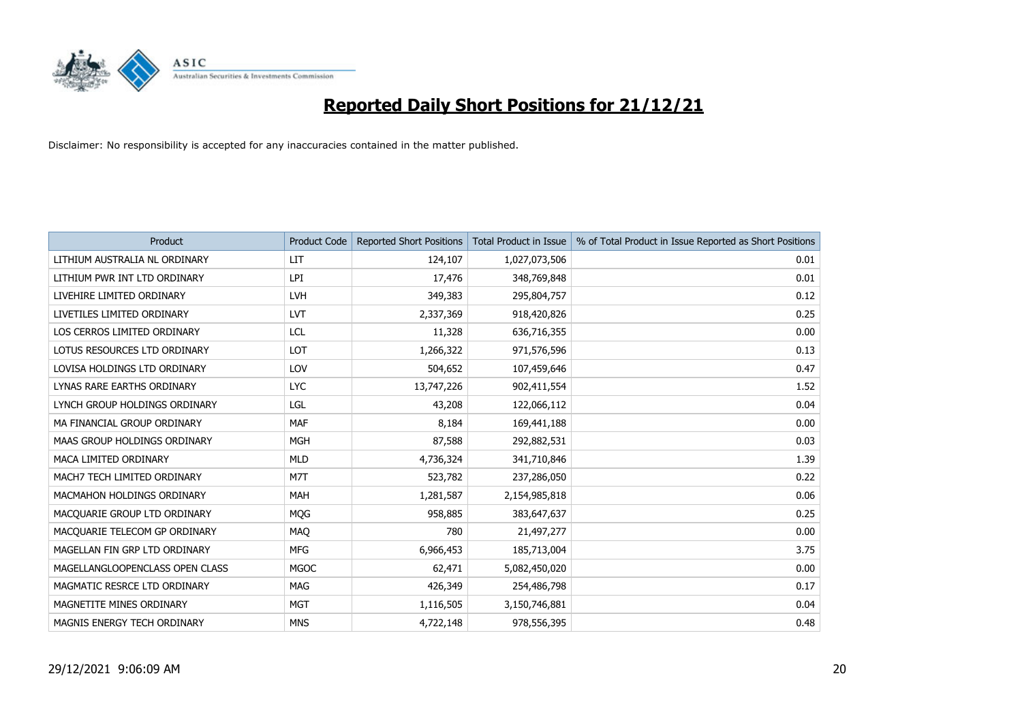

| <b>Product</b>                  | <b>Product Code</b> | <b>Reported Short Positions</b> | <b>Total Product in Issue</b> | % of Total Product in Issue Reported as Short Positions |
|---------------------------------|---------------------|---------------------------------|-------------------------------|---------------------------------------------------------|
| LITHIUM AUSTRALIA NL ORDINARY   | <b>LIT</b>          | 124,107                         | 1,027,073,506                 | 0.01                                                    |
| LITHIUM PWR INT LTD ORDINARY    | LPI                 | 17,476                          | 348,769,848                   | 0.01                                                    |
| LIVEHIRE LIMITED ORDINARY       | <b>LVH</b>          | 349,383                         | 295,804,757                   | 0.12                                                    |
| LIVETILES LIMITED ORDINARY      | LVT                 | 2,337,369                       | 918,420,826                   | 0.25                                                    |
| LOS CERROS LIMITED ORDINARY     | <b>LCL</b>          | 11,328                          | 636,716,355                   | 0.00                                                    |
| LOTUS RESOURCES LTD ORDINARY    | <b>LOT</b>          | 1,266,322                       | 971,576,596                   | 0.13                                                    |
| LOVISA HOLDINGS LTD ORDINARY    | LOV                 | 504,652                         | 107,459,646                   | 0.47                                                    |
| LYNAS RARE EARTHS ORDINARY      | <b>LYC</b>          | 13,747,226                      | 902,411,554                   | 1.52                                                    |
| LYNCH GROUP HOLDINGS ORDINARY   | LGL                 | 43,208                          | 122,066,112                   | 0.04                                                    |
| MA FINANCIAL GROUP ORDINARY     | <b>MAF</b>          | 8,184                           | 169,441,188                   | 0.00                                                    |
| MAAS GROUP HOLDINGS ORDINARY    | <b>MGH</b>          | 87,588                          | 292,882,531                   | 0.03                                                    |
| MACA LIMITED ORDINARY           | <b>MLD</b>          | 4,736,324                       | 341,710,846                   | 1.39                                                    |
| MACH7 TECH LIMITED ORDINARY     | M7T                 | 523,782                         | 237,286,050                   | 0.22                                                    |
| MACMAHON HOLDINGS ORDINARY      | <b>MAH</b>          | 1,281,587                       | 2,154,985,818                 | 0.06                                                    |
| MACQUARIE GROUP LTD ORDINARY    | <b>MOG</b>          | 958,885                         | 383,647,637                   | 0.25                                                    |
| MACQUARIE TELECOM GP ORDINARY   | <b>MAQ</b>          | 780                             | 21,497,277                    | 0.00                                                    |
| MAGELLAN FIN GRP LTD ORDINARY   | <b>MFG</b>          | 6,966,453                       | 185,713,004                   | 3.75                                                    |
| MAGELLANGLOOPENCLASS OPEN CLASS | <b>MGOC</b>         | 62,471                          | 5,082,450,020                 | 0.00                                                    |
| MAGMATIC RESRCE LTD ORDINARY    | MAG                 | 426,349                         | 254,486,798                   | 0.17                                                    |
| MAGNETITE MINES ORDINARY        | <b>MGT</b>          | 1,116,505                       | 3,150,746,881                 | 0.04                                                    |
| MAGNIS ENERGY TECH ORDINARY     | <b>MNS</b>          | 4,722,148                       | 978,556,395                   | 0.48                                                    |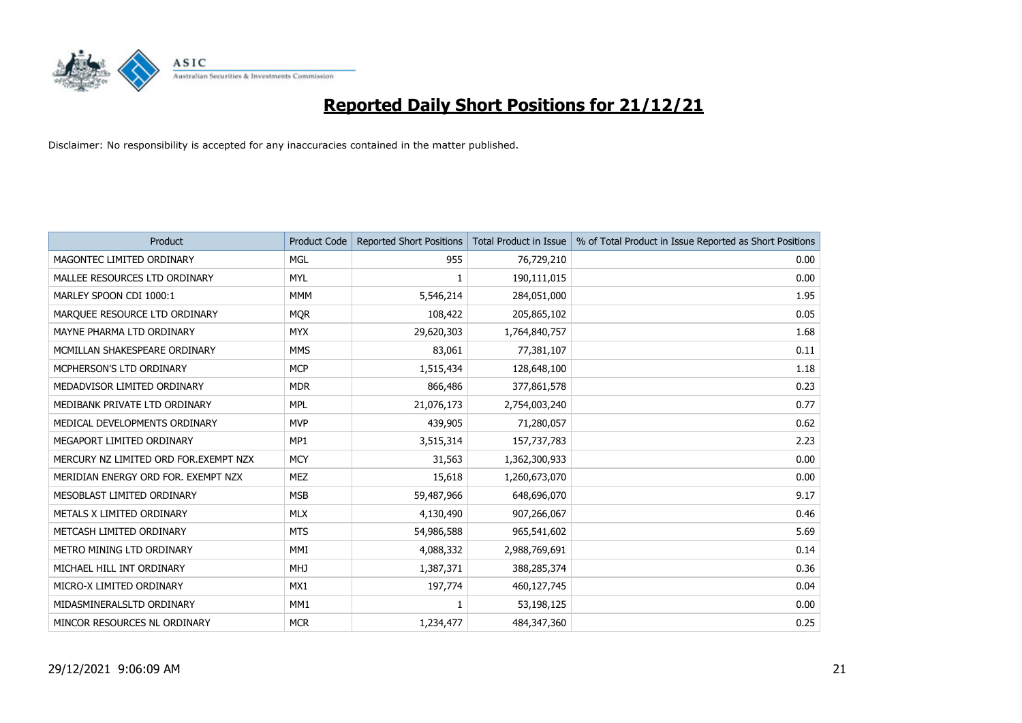

| <b>Product</b>                        | <b>Product Code</b> | <b>Reported Short Positions</b> | <b>Total Product in Issue</b> | % of Total Product in Issue Reported as Short Positions |
|---------------------------------------|---------------------|---------------------------------|-------------------------------|---------------------------------------------------------|
| MAGONTEC LIMITED ORDINARY             | <b>MGL</b>          | 955                             | 76,729,210                    | 0.00                                                    |
| MALLEE RESOURCES LTD ORDINARY         | <b>MYL</b>          |                                 | 190,111,015                   | 0.00                                                    |
| MARLEY SPOON CDI 1000:1               | <b>MMM</b>          | 5,546,214                       | 284,051,000                   | 1.95                                                    |
| MARQUEE RESOURCE LTD ORDINARY         | <b>MQR</b>          | 108,422                         | 205,865,102                   | 0.05                                                    |
| MAYNE PHARMA LTD ORDINARY             | <b>MYX</b>          | 29,620,303                      | 1,764,840,757                 | 1.68                                                    |
| MCMILLAN SHAKESPEARE ORDINARY         | <b>MMS</b>          | 83,061                          | 77,381,107                    | 0.11                                                    |
| MCPHERSON'S LTD ORDINARY              | <b>MCP</b>          | 1,515,434                       | 128,648,100                   | 1.18                                                    |
| MEDADVISOR LIMITED ORDINARY           | <b>MDR</b>          | 866,486                         | 377,861,578                   | 0.23                                                    |
| MEDIBANK PRIVATE LTD ORDINARY         | <b>MPL</b>          | 21,076,173                      | 2,754,003,240                 | 0.77                                                    |
| MEDICAL DEVELOPMENTS ORDINARY         | <b>MVP</b>          | 439,905                         | 71,280,057                    | 0.62                                                    |
| MEGAPORT LIMITED ORDINARY             | MP1                 | 3,515,314                       | 157,737,783                   | 2.23                                                    |
| MERCURY NZ LIMITED ORD FOR EXEMPT NZX | <b>MCY</b>          | 31,563                          | 1,362,300,933                 | 0.00                                                    |
| MERIDIAN ENERGY ORD FOR. EXEMPT NZX   | <b>MEZ</b>          | 15,618                          | 1,260,673,070                 | 0.00                                                    |
| MESOBLAST LIMITED ORDINARY            | <b>MSB</b>          | 59,487,966                      | 648,696,070                   | 9.17                                                    |
| METALS X LIMITED ORDINARY             | <b>MLX</b>          | 4,130,490                       | 907,266,067                   | 0.46                                                    |
| METCASH LIMITED ORDINARY              | <b>MTS</b>          | 54,986,588                      | 965,541,602                   | 5.69                                                    |
| METRO MINING LTD ORDINARY             | MMI                 | 4,088,332                       | 2,988,769,691                 | 0.14                                                    |
| MICHAEL HILL INT ORDINARY             | <b>MHJ</b>          | 1,387,371                       | 388,285,374                   | 0.36                                                    |
| MICRO-X LIMITED ORDINARY              | MX1                 | 197,774                         | 460,127,745                   | 0.04                                                    |
| MIDASMINERALSLTD ORDINARY             | MM1                 | $\mathbf{1}$                    | 53,198,125                    | 0.00                                                    |
| MINCOR RESOURCES NL ORDINARY          | <b>MCR</b>          | 1,234,477                       | 484,347,360                   | 0.25                                                    |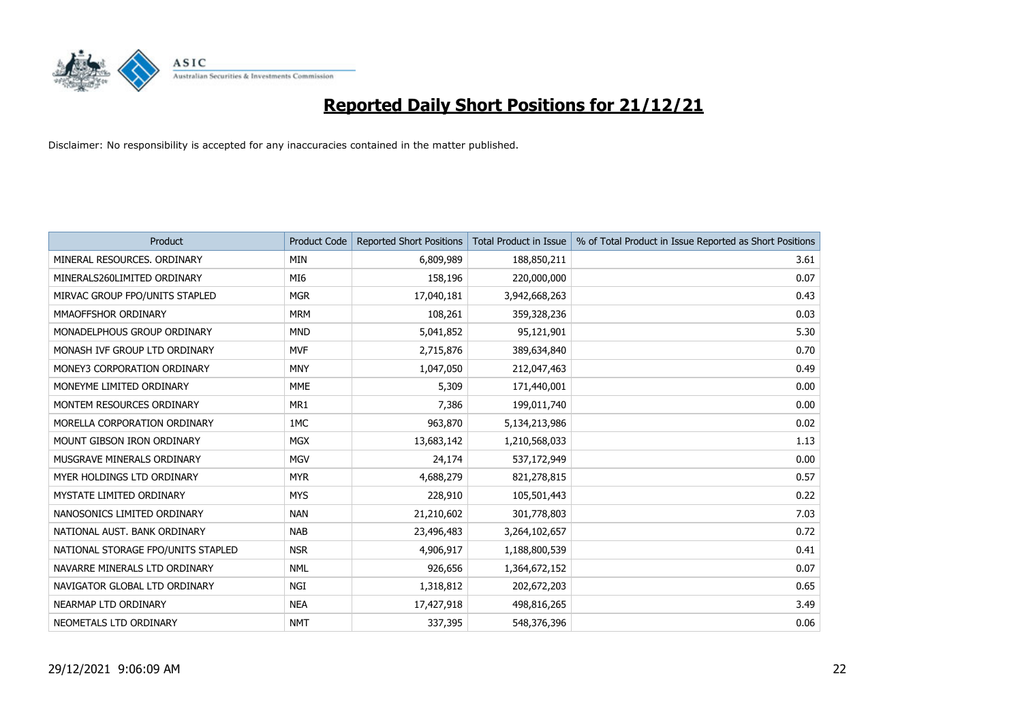

| Product                            | <b>Product Code</b> | <b>Reported Short Positions</b> | <b>Total Product in Issue</b> | % of Total Product in Issue Reported as Short Positions |
|------------------------------------|---------------------|---------------------------------|-------------------------------|---------------------------------------------------------|
| MINERAL RESOURCES. ORDINARY        | <b>MIN</b>          | 6,809,989                       | 188,850,211                   | 3.61                                                    |
| MINERALS260LIMITED ORDINARY        | MI6                 | 158,196                         | 220,000,000                   | 0.07                                                    |
| MIRVAC GROUP FPO/UNITS STAPLED     | <b>MGR</b>          | 17,040,181                      | 3,942,668,263                 | 0.43                                                    |
| MMAOFFSHOR ORDINARY                | <b>MRM</b>          | 108,261                         | 359,328,236                   | 0.03                                                    |
| MONADELPHOUS GROUP ORDINARY        | <b>MND</b>          | 5,041,852                       | 95,121,901                    | 5.30                                                    |
| MONASH IVF GROUP LTD ORDINARY      | <b>MVF</b>          | 2,715,876                       | 389,634,840                   | 0.70                                                    |
| MONEY3 CORPORATION ORDINARY        | <b>MNY</b>          | 1,047,050                       | 212,047,463                   | 0.49                                                    |
| MONEYME LIMITED ORDINARY           | <b>MME</b>          | 5,309                           | 171,440,001                   | 0.00                                                    |
| MONTEM RESOURCES ORDINARY          | MR1                 | 7,386                           | 199,011,740                   | 0.00                                                    |
| MORELLA CORPORATION ORDINARY       | 1MC                 | 963,870                         | 5,134,213,986                 | 0.02                                                    |
| MOUNT GIBSON IRON ORDINARY         | <b>MGX</b>          | 13,683,142                      | 1,210,568,033                 | 1.13                                                    |
| MUSGRAVE MINERALS ORDINARY         | <b>MGV</b>          | 24,174                          | 537,172,949                   | 0.00                                                    |
| MYER HOLDINGS LTD ORDINARY         | <b>MYR</b>          | 4,688,279                       | 821,278,815                   | 0.57                                                    |
| MYSTATE LIMITED ORDINARY           | <b>MYS</b>          | 228,910                         | 105,501,443                   | 0.22                                                    |
| NANOSONICS LIMITED ORDINARY        | <b>NAN</b>          | 21,210,602                      | 301,778,803                   | 7.03                                                    |
| NATIONAL AUST. BANK ORDINARY       | <b>NAB</b>          | 23,496,483                      | 3,264,102,657                 | 0.72                                                    |
| NATIONAL STORAGE FPO/UNITS STAPLED | <b>NSR</b>          | 4,906,917                       | 1,188,800,539                 | 0.41                                                    |
| NAVARRE MINERALS LTD ORDINARY      | <b>NML</b>          | 926,656                         | 1,364,672,152                 | 0.07                                                    |
| NAVIGATOR GLOBAL LTD ORDINARY      | <b>NGI</b>          | 1,318,812                       | 202,672,203                   | 0.65                                                    |
| NEARMAP LTD ORDINARY               | <b>NEA</b>          | 17,427,918                      | 498,816,265                   | 3.49                                                    |
| NEOMETALS LTD ORDINARY             | <b>NMT</b>          | 337,395                         | 548,376,396                   | 0.06                                                    |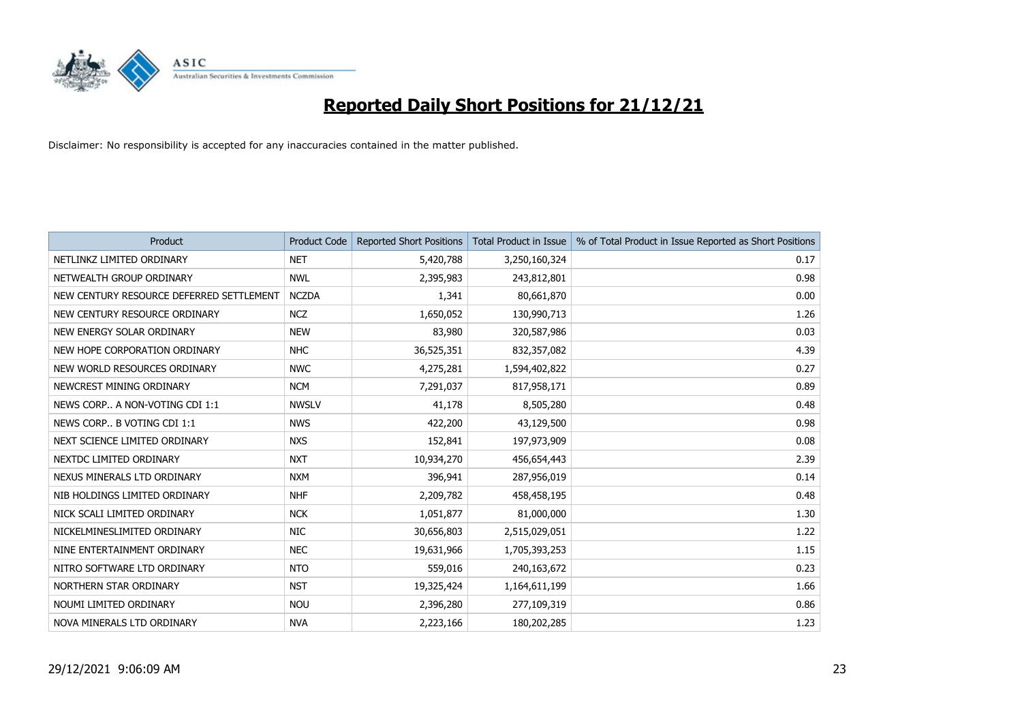

| Product                                  | <b>Product Code</b> | <b>Reported Short Positions</b> | <b>Total Product in Issue</b> | % of Total Product in Issue Reported as Short Positions |
|------------------------------------------|---------------------|---------------------------------|-------------------------------|---------------------------------------------------------|
| NETLINKZ LIMITED ORDINARY                | <b>NET</b>          | 5,420,788                       | 3,250,160,324                 | 0.17                                                    |
| NETWEALTH GROUP ORDINARY                 | <b>NWL</b>          | 2,395,983                       | 243,812,801                   | 0.98                                                    |
| NEW CENTURY RESOURCE DEFERRED SETTLEMENT | <b>NCZDA</b>        | 1,341                           | 80,661,870                    | 0.00                                                    |
| NEW CENTURY RESOURCE ORDINARY            | <b>NCZ</b>          | 1,650,052                       | 130,990,713                   | 1.26                                                    |
| NEW ENERGY SOLAR ORDINARY                | <b>NEW</b>          | 83,980                          | 320,587,986                   | 0.03                                                    |
| NEW HOPE CORPORATION ORDINARY            | <b>NHC</b>          | 36,525,351                      | 832,357,082                   | 4.39                                                    |
| NEW WORLD RESOURCES ORDINARY             | <b>NWC</b>          | 4,275,281                       | 1,594,402,822                 | 0.27                                                    |
| NEWCREST MINING ORDINARY                 | <b>NCM</b>          | 7,291,037                       | 817,958,171                   | 0.89                                                    |
| NEWS CORP A NON-VOTING CDI 1:1           | <b>NWSLV</b>        | 41,178                          | 8,505,280                     | 0.48                                                    |
| NEWS CORP B VOTING CDI 1:1               | <b>NWS</b>          | 422,200                         | 43,129,500                    | 0.98                                                    |
| NEXT SCIENCE LIMITED ORDINARY            | <b>NXS</b>          | 152,841                         | 197,973,909                   | 0.08                                                    |
| NEXTDC LIMITED ORDINARY                  | <b>NXT</b>          | 10,934,270                      | 456,654,443                   | 2.39                                                    |
| NEXUS MINERALS LTD ORDINARY              | <b>NXM</b>          | 396,941                         | 287,956,019                   | 0.14                                                    |
| NIB HOLDINGS LIMITED ORDINARY            | <b>NHF</b>          | 2,209,782                       | 458,458,195                   | 0.48                                                    |
| NICK SCALI LIMITED ORDINARY              | <b>NCK</b>          | 1,051,877                       | 81,000,000                    | 1.30                                                    |
| NICKELMINESLIMITED ORDINARY              | <b>NIC</b>          | 30,656,803                      | 2,515,029,051                 | 1.22                                                    |
| NINE ENTERTAINMENT ORDINARY              | <b>NEC</b>          | 19,631,966                      | 1,705,393,253                 | 1.15                                                    |
| NITRO SOFTWARE LTD ORDINARY              | <b>NTO</b>          | 559,016                         | 240,163,672                   | 0.23                                                    |
| NORTHERN STAR ORDINARY                   | <b>NST</b>          | 19,325,424                      | 1,164,611,199                 | 1.66                                                    |
| NOUMI LIMITED ORDINARY                   | <b>NOU</b>          | 2,396,280                       | 277,109,319                   | 0.86                                                    |
| NOVA MINERALS LTD ORDINARY               | <b>NVA</b>          | 2,223,166                       | 180,202,285                   | 1.23                                                    |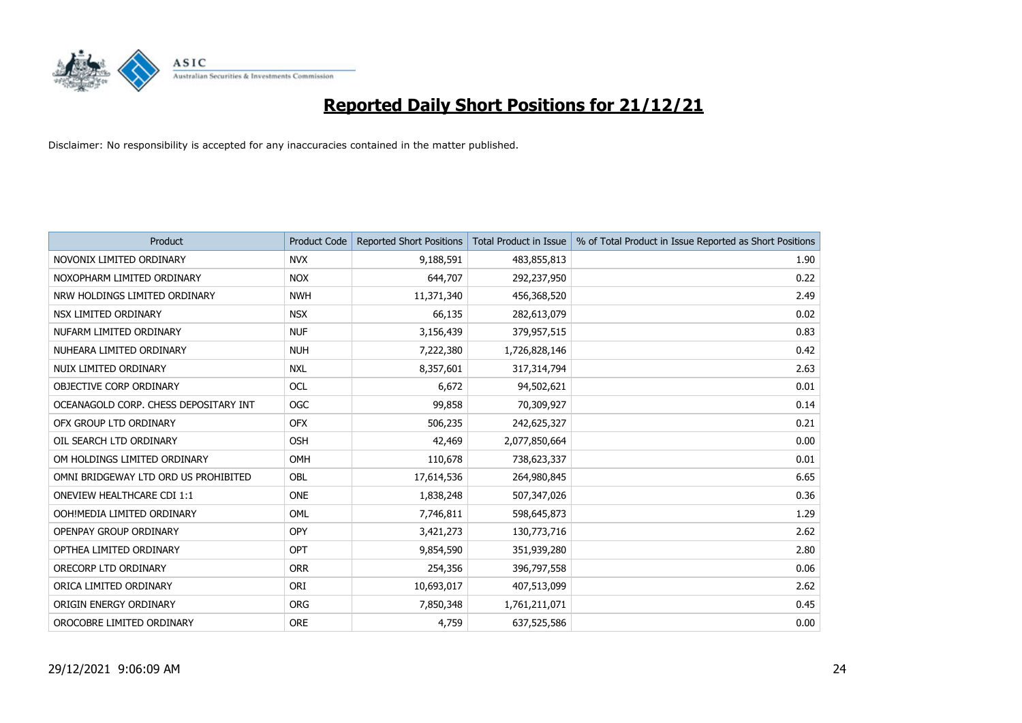

| Product                               | <b>Product Code</b> | <b>Reported Short Positions</b> | <b>Total Product in Issue</b> | % of Total Product in Issue Reported as Short Positions |
|---------------------------------------|---------------------|---------------------------------|-------------------------------|---------------------------------------------------------|
| NOVONIX LIMITED ORDINARY              | <b>NVX</b>          | 9,188,591                       | 483,855,813                   | 1.90                                                    |
| NOXOPHARM LIMITED ORDINARY            | <b>NOX</b>          | 644,707                         | 292,237,950                   | 0.22                                                    |
| NRW HOLDINGS LIMITED ORDINARY         | <b>NWH</b>          | 11,371,340                      | 456,368,520                   | 2.49                                                    |
| NSX LIMITED ORDINARY                  | <b>NSX</b>          | 66,135                          | 282,613,079                   | 0.02                                                    |
| NUFARM LIMITED ORDINARY               | <b>NUF</b>          | 3,156,439                       | 379,957,515                   | 0.83                                                    |
| NUHEARA LIMITED ORDINARY              | <b>NUH</b>          | 7,222,380                       | 1,726,828,146                 | 0.42                                                    |
| NUIX LIMITED ORDINARY                 | <b>NXL</b>          | 8,357,601                       | 317,314,794                   | 2.63                                                    |
| OBJECTIVE CORP ORDINARY               | <b>OCL</b>          | 6,672                           | 94,502,621                    | 0.01                                                    |
| OCEANAGOLD CORP. CHESS DEPOSITARY INT | <b>OGC</b>          | 99,858                          | 70,309,927                    | 0.14                                                    |
| OFX GROUP LTD ORDINARY                | <b>OFX</b>          | 506,235                         | 242,625,327                   | 0.21                                                    |
| OIL SEARCH LTD ORDINARY               | <b>OSH</b>          | 42,469                          | 2,077,850,664                 | 0.00                                                    |
| OM HOLDINGS LIMITED ORDINARY          | OMH                 | 110,678                         | 738,623,337                   | 0.01                                                    |
| OMNI BRIDGEWAY LTD ORD US PROHIBITED  | <b>OBL</b>          | 17,614,536                      | 264,980,845                   | 6.65                                                    |
| <b>ONEVIEW HEALTHCARE CDI 1:1</b>     | <b>ONE</b>          | 1,838,248                       | 507,347,026                   | 0.36                                                    |
| OOH! MEDIA LIMITED ORDINARY           | OML                 | 7,746,811                       | 598,645,873                   | 1.29                                                    |
| OPENPAY GROUP ORDINARY                | <b>OPY</b>          | 3,421,273                       | 130,773,716                   | 2.62                                                    |
| OPTHEA LIMITED ORDINARY               | <b>OPT</b>          | 9,854,590                       | 351,939,280                   | 2.80                                                    |
| ORECORP LTD ORDINARY                  | <b>ORR</b>          | 254,356                         | 396,797,558                   | 0.06                                                    |
| ORICA LIMITED ORDINARY                | ORI                 | 10,693,017                      | 407,513,099                   | 2.62                                                    |
| ORIGIN ENERGY ORDINARY                | <b>ORG</b>          | 7,850,348                       | 1,761,211,071                 | 0.45                                                    |
| OROCOBRE LIMITED ORDINARY             | <b>ORE</b>          | 4,759                           | 637,525,586                   | 0.00                                                    |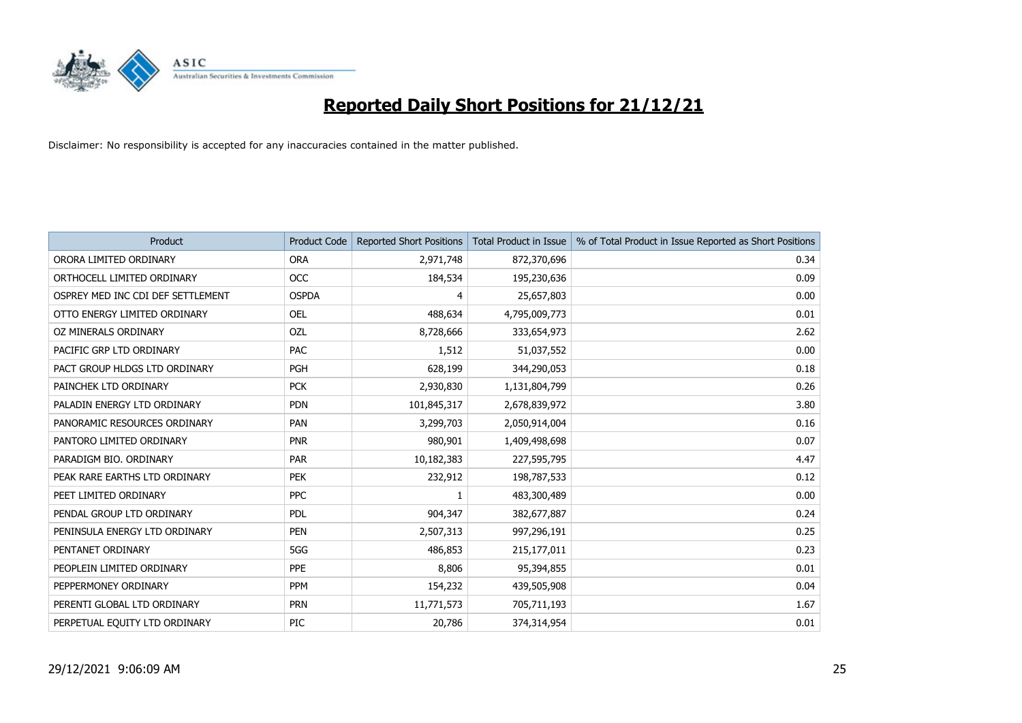

| Product                           | <b>Product Code</b> | <b>Reported Short Positions</b> | <b>Total Product in Issue</b> | % of Total Product in Issue Reported as Short Positions |
|-----------------------------------|---------------------|---------------------------------|-------------------------------|---------------------------------------------------------|
| ORORA LIMITED ORDINARY            | <b>ORA</b>          | 2,971,748                       | 872,370,696                   | 0.34                                                    |
| ORTHOCELL LIMITED ORDINARY        | <b>OCC</b>          | 184,534                         | 195,230,636                   | 0.09                                                    |
| OSPREY MED INC CDI DEF SETTLEMENT | <b>OSPDA</b>        | 4                               | 25,657,803                    | 0.00                                                    |
| OTTO ENERGY LIMITED ORDINARY      | <b>OEL</b>          | 488,634                         | 4,795,009,773                 | 0.01                                                    |
| OZ MINERALS ORDINARY              | OZL                 | 8,728,666                       | 333,654,973                   | 2.62                                                    |
| PACIFIC GRP LTD ORDINARY          | PAC                 | 1,512                           | 51,037,552                    | 0.00                                                    |
| PACT GROUP HLDGS LTD ORDINARY     | <b>PGH</b>          | 628,199                         | 344,290,053                   | 0.18                                                    |
| PAINCHEK LTD ORDINARY             | <b>PCK</b>          | 2,930,830                       | 1,131,804,799                 | 0.26                                                    |
| PALADIN ENERGY LTD ORDINARY       | <b>PDN</b>          | 101,845,317                     | 2,678,839,972                 | 3.80                                                    |
| PANORAMIC RESOURCES ORDINARY      | <b>PAN</b>          | 3,299,703                       | 2,050,914,004                 | 0.16                                                    |
| PANTORO LIMITED ORDINARY          | <b>PNR</b>          | 980,901                         | 1,409,498,698                 | 0.07                                                    |
| PARADIGM BIO, ORDINARY            | <b>PAR</b>          | 10,182,383                      | 227,595,795                   | 4.47                                                    |
| PEAK RARE EARTHS LTD ORDINARY     | <b>PEK</b>          | 232,912                         | 198,787,533                   | 0.12                                                    |
| PEET LIMITED ORDINARY             | <b>PPC</b>          |                                 | 483,300,489                   | 0.00                                                    |
| PENDAL GROUP LTD ORDINARY         | <b>PDL</b>          | 904,347                         | 382,677,887                   | 0.24                                                    |
| PENINSULA ENERGY LTD ORDINARY     | <b>PEN</b>          | 2,507,313                       | 997,296,191                   | 0.25                                                    |
| PENTANET ORDINARY                 | 5GG                 | 486,853                         | 215,177,011                   | 0.23                                                    |
| PEOPLEIN LIMITED ORDINARY         | PPE                 | 8,806                           | 95,394,855                    | 0.01                                                    |
| PEPPERMONEY ORDINARY              | <b>PPM</b>          | 154,232                         | 439,505,908                   | 0.04                                                    |
| PERENTI GLOBAL LTD ORDINARY       | <b>PRN</b>          | 11,771,573                      | 705,711,193                   | 1.67                                                    |
| PERPETUAL EQUITY LTD ORDINARY     | PIC                 | 20,786                          | 374,314,954                   | 0.01                                                    |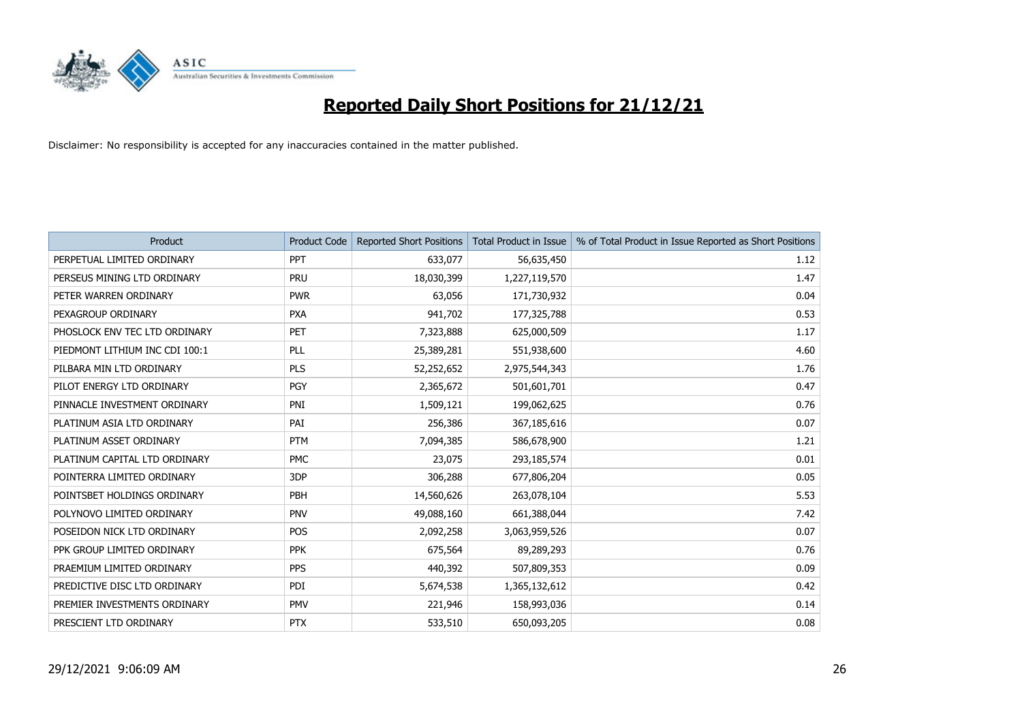

| Product                        | <b>Product Code</b> | <b>Reported Short Positions</b> | <b>Total Product in Issue</b> | % of Total Product in Issue Reported as Short Positions |
|--------------------------------|---------------------|---------------------------------|-------------------------------|---------------------------------------------------------|
| PERPETUAL LIMITED ORDINARY     | <b>PPT</b>          | 633,077                         | 56,635,450                    | 1.12                                                    |
| PERSEUS MINING LTD ORDINARY    | <b>PRU</b>          | 18,030,399                      | 1,227,119,570                 | 1.47                                                    |
| PETER WARREN ORDINARY          | <b>PWR</b>          | 63,056                          | 171,730,932                   | 0.04                                                    |
| PEXAGROUP ORDINARY             | <b>PXA</b>          | 941,702                         | 177,325,788                   | 0.53                                                    |
| PHOSLOCK ENV TEC LTD ORDINARY  | <b>PET</b>          | 7,323,888                       | 625,000,509                   | 1.17                                                    |
| PIEDMONT LITHIUM INC CDI 100:1 | PLL                 | 25,389,281                      | 551,938,600                   | 4.60                                                    |
| PILBARA MIN LTD ORDINARY       | <b>PLS</b>          | 52,252,652                      | 2,975,544,343                 | 1.76                                                    |
| PILOT ENERGY LTD ORDINARY      | <b>PGY</b>          | 2,365,672                       | 501,601,701                   | 0.47                                                    |
| PINNACLE INVESTMENT ORDINARY   | PNI                 | 1,509,121                       | 199,062,625                   | 0.76                                                    |
| PLATINUM ASIA LTD ORDINARY     | PAI                 | 256,386                         | 367,185,616                   | 0.07                                                    |
| PLATINUM ASSET ORDINARY        | <b>PTM</b>          | 7,094,385                       | 586,678,900                   | 1.21                                                    |
| PLATINUM CAPITAL LTD ORDINARY  | <b>PMC</b>          | 23,075                          | 293,185,574                   | 0.01                                                    |
| POINTERRA LIMITED ORDINARY     | 3DP                 | 306,288                         | 677,806,204                   | 0.05                                                    |
| POINTSBET HOLDINGS ORDINARY    | <b>PBH</b>          | 14,560,626                      | 263,078,104                   | 5.53                                                    |
| POLYNOVO LIMITED ORDINARY      | <b>PNV</b>          | 49,088,160                      | 661,388,044                   | 7.42                                                    |
| POSEIDON NICK LTD ORDINARY     | <b>POS</b>          | 2,092,258                       | 3,063,959,526                 | 0.07                                                    |
| PPK GROUP LIMITED ORDINARY     | <b>PPK</b>          | 675,564                         | 89,289,293                    | 0.76                                                    |
| PRAEMIUM LIMITED ORDINARY      | <b>PPS</b>          | 440,392                         | 507,809,353                   | 0.09                                                    |
| PREDICTIVE DISC LTD ORDINARY   | PDI                 | 5,674,538                       | 1,365,132,612                 | 0.42                                                    |
| PREMIER INVESTMENTS ORDINARY   | PMV                 | 221,946                         | 158,993,036                   | 0.14                                                    |
|                                |                     |                                 |                               |                                                         |
| PRESCIENT LTD ORDINARY         | <b>PTX</b>          | 533,510                         | 650,093,205                   | 0.08                                                    |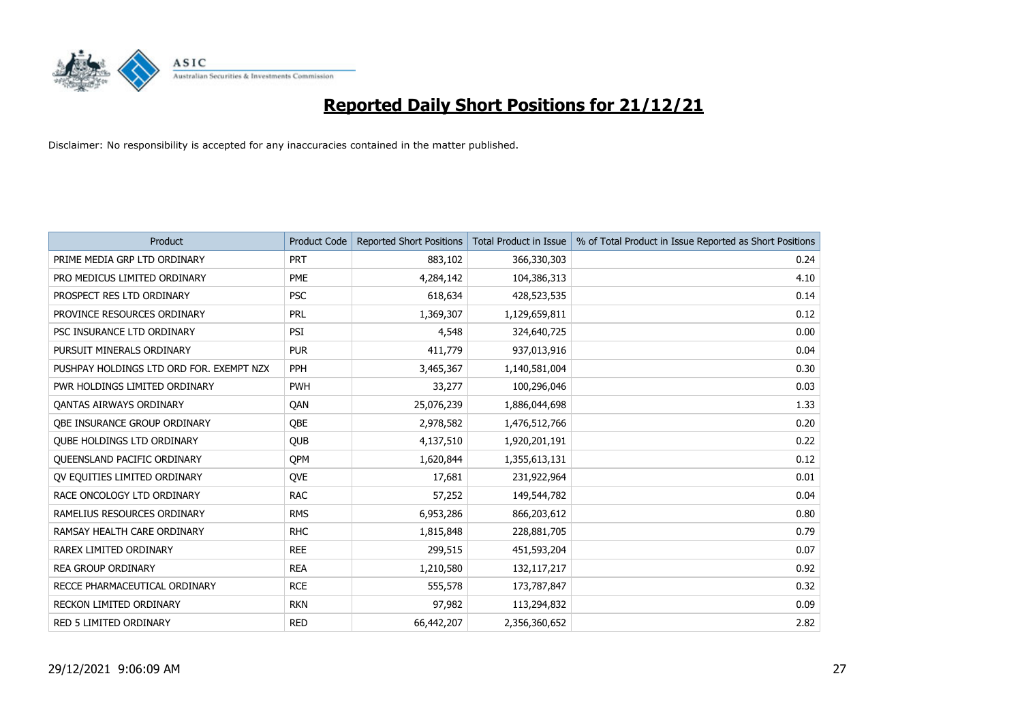

| <b>Product</b>                           | <b>Product Code</b> | <b>Reported Short Positions</b> | <b>Total Product in Issue</b> | % of Total Product in Issue Reported as Short Positions |
|------------------------------------------|---------------------|---------------------------------|-------------------------------|---------------------------------------------------------|
| PRIME MEDIA GRP LTD ORDINARY             | <b>PRT</b>          | 883,102                         | 366,330,303                   | 0.24                                                    |
| PRO MEDICUS LIMITED ORDINARY             | <b>PME</b>          | 4,284,142                       | 104,386,313                   | 4.10                                                    |
| PROSPECT RES LTD ORDINARY                | <b>PSC</b>          | 618,634                         | 428,523,535                   | 0.14                                                    |
| PROVINCE RESOURCES ORDINARY              | <b>PRL</b>          | 1,369,307                       | 1,129,659,811                 | 0.12                                                    |
| PSC INSURANCE LTD ORDINARY               | PSI                 | 4,548                           | 324,640,725                   | 0.00                                                    |
| PURSUIT MINERALS ORDINARY                | <b>PUR</b>          | 411,779                         | 937,013,916                   | 0.04                                                    |
| PUSHPAY HOLDINGS LTD ORD FOR. EXEMPT NZX | <b>PPH</b>          | 3,465,367                       | 1,140,581,004                 | 0.30                                                    |
| PWR HOLDINGS LIMITED ORDINARY            | <b>PWH</b>          | 33,277                          | 100,296,046                   | 0.03                                                    |
| <b>OANTAS AIRWAYS ORDINARY</b>           | QAN                 | 25,076,239                      | 1,886,044,698                 | 1.33                                                    |
| OBE INSURANCE GROUP ORDINARY             | QBE                 | 2,978,582                       | 1,476,512,766                 | 0.20                                                    |
| QUBE HOLDINGS LTD ORDINARY               | QUB                 | 4,137,510                       | 1,920,201,191                 | 0.22                                                    |
| <b>OUEENSLAND PACIFIC ORDINARY</b>       | QPM                 | 1,620,844                       | 1,355,613,131                 | 0.12                                                    |
| OV EQUITIES LIMITED ORDINARY             | QVE                 | 17,681                          | 231,922,964                   | 0.01                                                    |
| RACE ONCOLOGY LTD ORDINARY               | <b>RAC</b>          | 57,252                          | 149,544,782                   | 0.04                                                    |
| RAMELIUS RESOURCES ORDINARY              | <b>RMS</b>          | 6,953,286                       | 866,203,612                   | 0.80                                                    |
| RAMSAY HEALTH CARE ORDINARY              | <b>RHC</b>          | 1,815,848                       | 228,881,705                   | 0.79                                                    |
| RAREX LIMITED ORDINARY                   | <b>REE</b>          | 299,515                         | 451,593,204                   | 0.07                                                    |
| <b>REA GROUP ORDINARY</b>                | <b>REA</b>          | 1,210,580                       | 132,117,217                   | 0.92                                                    |
| RECCE PHARMACEUTICAL ORDINARY            | <b>RCE</b>          | 555,578                         | 173,787,847                   | 0.32                                                    |
| RECKON LIMITED ORDINARY                  | <b>RKN</b>          | 97,982                          | 113,294,832                   | 0.09                                                    |
| RED 5 LIMITED ORDINARY                   | <b>RED</b>          | 66,442,207                      | 2,356,360,652                 | 2.82                                                    |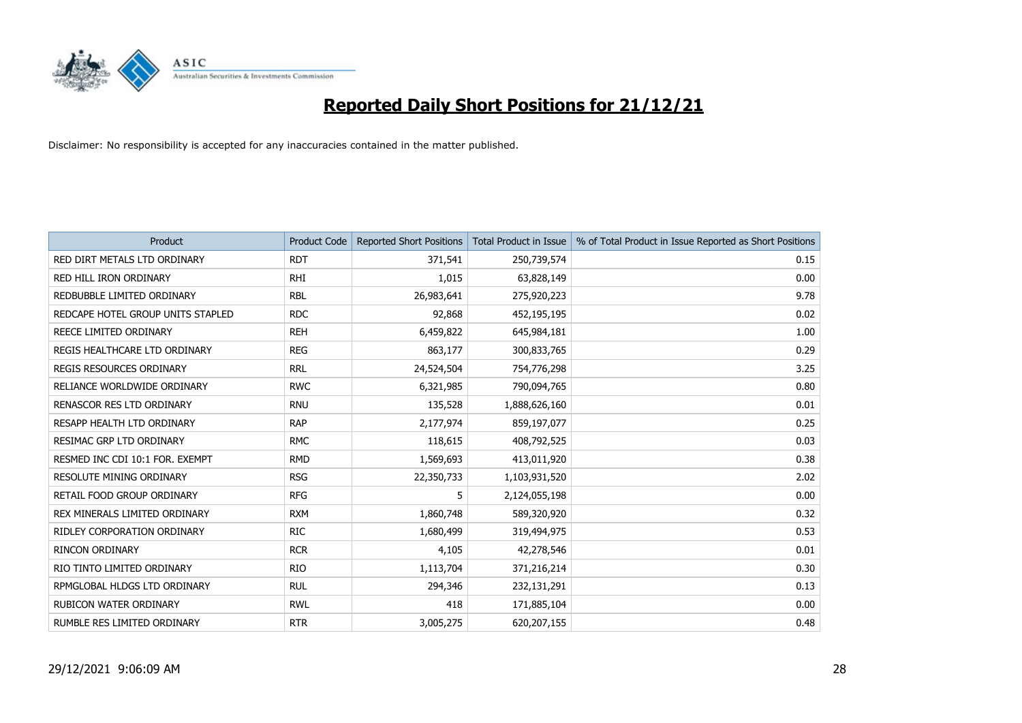

| <b>Product</b>                    | <b>Product Code</b> | <b>Reported Short Positions</b> | <b>Total Product in Issue</b> | % of Total Product in Issue Reported as Short Positions |
|-----------------------------------|---------------------|---------------------------------|-------------------------------|---------------------------------------------------------|
| RED DIRT METALS LTD ORDINARY      | <b>RDT</b>          | 371,541                         | 250,739,574                   | 0.15                                                    |
| RED HILL IRON ORDINARY            | <b>RHI</b>          | 1,015                           | 63,828,149                    | 0.00                                                    |
| REDBUBBLE LIMITED ORDINARY        | <b>RBL</b>          | 26,983,641                      | 275,920,223                   | 9.78                                                    |
| REDCAPE HOTEL GROUP UNITS STAPLED | <b>RDC</b>          | 92,868                          | 452,195,195                   | 0.02                                                    |
| REECE LIMITED ORDINARY            | <b>REH</b>          | 6,459,822                       | 645,984,181                   | 1.00                                                    |
| REGIS HEALTHCARE LTD ORDINARY     | <b>REG</b>          | 863,177                         | 300,833,765                   | 0.29                                                    |
| <b>REGIS RESOURCES ORDINARY</b>   | <b>RRL</b>          | 24,524,504                      | 754,776,298                   | 3.25                                                    |
| RELIANCE WORLDWIDE ORDINARY       | <b>RWC</b>          | 6,321,985                       | 790,094,765                   | 0.80                                                    |
| RENASCOR RES LTD ORDINARY         | <b>RNU</b>          | 135,528                         | 1,888,626,160                 | 0.01                                                    |
| RESAPP HEALTH LTD ORDINARY        | <b>RAP</b>          | 2,177,974                       | 859,197,077                   | 0.25                                                    |
| RESIMAC GRP LTD ORDINARY          | <b>RMC</b>          | 118,615                         | 408,792,525                   | 0.03                                                    |
| RESMED INC CDI 10:1 FOR. EXEMPT   | <b>RMD</b>          | 1,569,693                       | 413,011,920                   | 0.38                                                    |
| RESOLUTE MINING ORDINARY          | <b>RSG</b>          | 22,350,733                      | 1,103,931,520                 | 2.02                                                    |
| RETAIL FOOD GROUP ORDINARY        | <b>RFG</b>          | 5                               | 2,124,055,198                 | 0.00                                                    |
| REX MINERALS LIMITED ORDINARY     | <b>RXM</b>          | 1,860,748                       | 589,320,920                   | 0.32                                                    |
| RIDLEY CORPORATION ORDINARY       | <b>RIC</b>          | 1,680,499                       | 319,494,975                   | 0.53                                                    |
| <b>RINCON ORDINARY</b>            | <b>RCR</b>          | 4,105                           | 42,278,546                    | 0.01                                                    |
| RIO TINTO LIMITED ORDINARY        | <b>RIO</b>          | 1,113,704                       | 371,216,214                   | 0.30                                                    |
| RPMGLOBAL HLDGS LTD ORDINARY      | <b>RUL</b>          | 294,346                         | 232,131,291                   | 0.13                                                    |
| <b>RUBICON WATER ORDINARY</b>     | <b>RWL</b>          | 418                             | 171,885,104                   | 0.00                                                    |
| RUMBLE RES LIMITED ORDINARY       | <b>RTR</b>          | 3,005,275                       | 620,207,155                   | 0.48                                                    |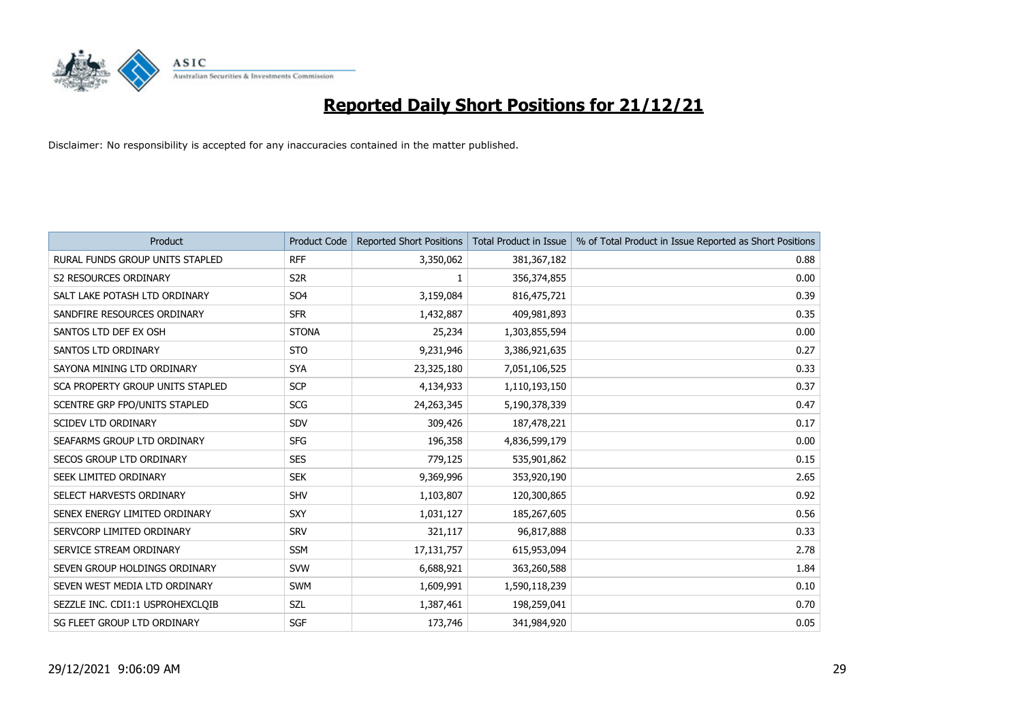

| <b>Product</b>                   | <b>Product Code</b> | <b>Reported Short Positions</b> | <b>Total Product in Issue</b> | % of Total Product in Issue Reported as Short Positions |
|----------------------------------|---------------------|---------------------------------|-------------------------------|---------------------------------------------------------|
| RURAL FUNDS GROUP UNITS STAPLED  | <b>RFF</b>          | 3,350,062                       | 381, 367, 182                 | 0.88                                                    |
| S2 RESOURCES ORDINARY            | S <sub>2R</sub>     |                                 | 356,374,855                   | 0.00                                                    |
| SALT LAKE POTASH LTD ORDINARY    | SO <sub>4</sub>     | 3,159,084                       | 816,475,721                   | 0.39                                                    |
| SANDFIRE RESOURCES ORDINARY      | <b>SFR</b>          | 1,432,887                       | 409,981,893                   | 0.35                                                    |
| SANTOS LTD DEF EX OSH            | <b>STONA</b>        | 25,234                          | 1,303,855,594                 | 0.00                                                    |
| SANTOS LTD ORDINARY              | <b>STO</b>          | 9,231,946                       | 3,386,921,635                 | 0.27                                                    |
| SAYONA MINING LTD ORDINARY       | <b>SYA</b>          | 23,325,180                      | 7,051,106,525                 | 0.33                                                    |
| SCA PROPERTY GROUP UNITS STAPLED | <b>SCP</b>          | 4,134,933                       | 1,110,193,150                 | 0.37                                                    |
| SCENTRE GRP FPO/UNITS STAPLED    | <b>SCG</b>          | 24,263,345                      | 5,190,378,339                 | 0.47                                                    |
| <b>SCIDEV LTD ORDINARY</b>       | SDV                 | 309,426                         | 187,478,221                   | 0.17                                                    |
| SEAFARMS GROUP LTD ORDINARY      | <b>SFG</b>          | 196,358                         | 4,836,599,179                 | 0.00                                                    |
| SECOS GROUP LTD ORDINARY         | <b>SES</b>          | 779,125                         | 535,901,862                   | 0.15                                                    |
| SEEK LIMITED ORDINARY            | <b>SEK</b>          | 9,369,996                       | 353,920,190                   | 2.65                                                    |
| SELECT HARVESTS ORDINARY         | <b>SHV</b>          | 1,103,807                       | 120,300,865                   | 0.92                                                    |
| SENEX ENERGY LIMITED ORDINARY    | <b>SXY</b>          | 1,031,127                       | 185,267,605                   | 0.56                                                    |
| SERVCORP LIMITED ORDINARY        | <b>SRV</b>          | 321,117                         | 96,817,888                    | 0.33                                                    |
| SERVICE STREAM ORDINARY          | <b>SSM</b>          | 17,131,757                      | 615,953,094                   | 2.78                                                    |
| SEVEN GROUP HOLDINGS ORDINARY    | <b>SVW</b>          | 6,688,921                       | 363,260,588                   | 1.84                                                    |
| SEVEN WEST MEDIA LTD ORDINARY    | <b>SWM</b>          | 1,609,991                       | 1,590,118,239                 | 0.10                                                    |
| SEZZLE INC. CDI1:1 USPROHEXCLOIB | <b>SZL</b>          | 1,387,461                       | 198,259,041                   | 0.70                                                    |
| SG FLEET GROUP LTD ORDINARY      | <b>SGF</b>          | 173,746                         | 341,984,920                   | 0.05                                                    |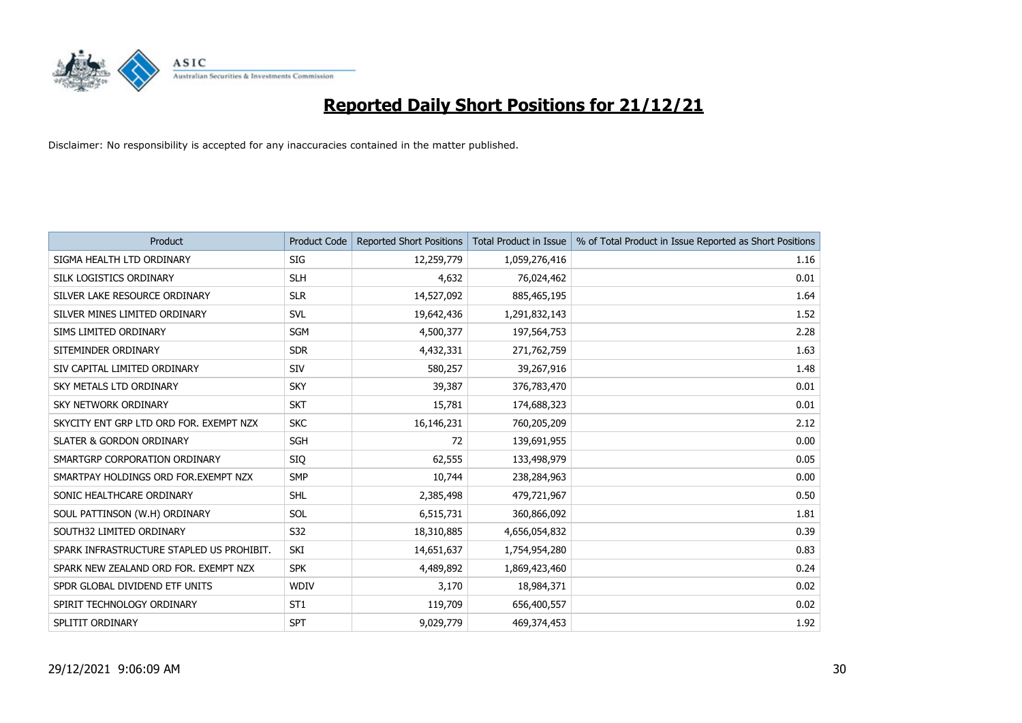

| <b>Product</b>                            | <b>Product Code</b> | <b>Reported Short Positions</b> | <b>Total Product in Issue</b> | % of Total Product in Issue Reported as Short Positions |
|-------------------------------------------|---------------------|---------------------------------|-------------------------------|---------------------------------------------------------|
| SIGMA HEALTH LTD ORDINARY                 | <b>SIG</b>          | 12,259,779                      | 1,059,276,416                 | 1.16                                                    |
| SILK LOGISTICS ORDINARY                   | <b>SLH</b>          | 4,632                           | 76,024,462                    | 0.01                                                    |
| SILVER LAKE RESOURCE ORDINARY             | <b>SLR</b>          | 14,527,092                      | 885,465,195                   | 1.64                                                    |
| SILVER MINES LIMITED ORDINARY             | <b>SVL</b>          | 19,642,436                      | 1,291,832,143                 | 1.52                                                    |
| SIMS LIMITED ORDINARY                     | <b>SGM</b>          | 4,500,377                       | 197,564,753                   | 2.28                                                    |
| SITEMINDER ORDINARY                       | <b>SDR</b>          | 4,432,331                       | 271,762,759                   | 1.63                                                    |
| SIV CAPITAL LIMITED ORDINARY              | <b>SIV</b>          | 580,257                         | 39,267,916                    | 1.48                                                    |
| SKY METALS LTD ORDINARY                   | <b>SKY</b>          | 39,387                          | 376,783,470                   | 0.01                                                    |
| SKY NETWORK ORDINARY                      | <b>SKT</b>          | 15,781                          | 174,688,323                   | 0.01                                                    |
| SKYCITY ENT GRP LTD ORD FOR. EXEMPT NZX   | <b>SKC</b>          | 16,146,231                      | 760,205,209                   | 2.12                                                    |
| <b>SLATER &amp; GORDON ORDINARY</b>       | <b>SGH</b>          | 72                              | 139,691,955                   | 0.00                                                    |
| SMARTGRP CORPORATION ORDINARY             | <b>SIQ</b>          | 62,555                          | 133,498,979                   | 0.05                                                    |
| SMARTPAY HOLDINGS ORD FOR EXEMPT NZX      | <b>SMP</b>          | 10,744                          | 238,284,963                   | 0.00                                                    |
| SONIC HEALTHCARE ORDINARY                 | <b>SHL</b>          | 2,385,498                       | 479,721,967                   | 0.50                                                    |
| SOUL PATTINSON (W.H) ORDINARY             | SOL                 | 6,515,731                       | 360,866,092                   | 1.81                                                    |
| SOUTH32 LIMITED ORDINARY                  | S32                 | 18,310,885                      | 4,656,054,832                 | 0.39                                                    |
| SPARK INFRASTRUCTURE STAPLED US PROHIBIT. | SKI                 | 14,651,637                      | 1,754,954,280                 | 0.83                                                    |
| SPARK NEW ZEALAND ORD FOR. EXEMPT NZX     | <b>SPK</b>          | 4,489,892                       | 1,869,423,460                 | 0.24                                                    |
| SPDR GLOBAL DIVIDEND ETF UNITS            | WDIV                | 3,170                           | 18,984,371                    | 0.02                                                    |
| SPIRIT TECHNOLOGY ORDINARY                | ST <sub>1</sub>     | 119,709                         | 656,400,557                   | 0.02                                                    |
| SPLITIT ORDINARY                          | <b>SPT</b>          | 9,029,779                       | 469,374,453                   | 1.92                                                    |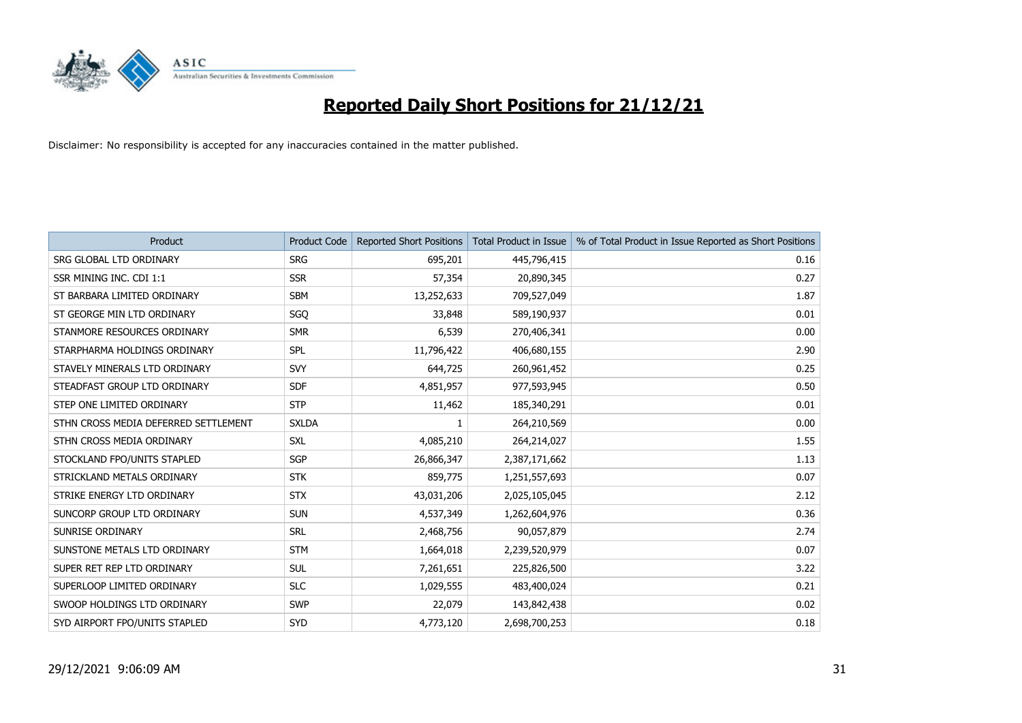

| Product                              | <b>Product Code</b> | <b>Reported Short Positions</b> | <b>Total Product in Issue</b> | % of Total Product in Issue Reported as Short Positions |
|--------------------------------------|---------------------|---------------------------------|-------------------------------|---------------------------------------------------------|
| SRG GLOBAL LTD ORDINARY              | <b>SRG</b>          | 695,201                         | 445,796,415                   | 0.16                                                    |
| SSR MINING INC. CDI 1:1              | <b>SSR</b>          | 57,354                          | 20,890,345                    | 0.27                                                    |
| ST BARBARA LIMITED ORDINARY          | <b>SBM</b>          | 13,252,633                      | 709,527,049                   | 1.87                                                    |
| ST GEORGE MIN LTD ORDINARY           | SGQ                 | 33,848                          | 589,190,937                   | 0.01                                                    |
| STANMORE RESOURCES ORDINARY          | <b>SMR</b>          | 6,539                           | 270,406,341                   | 0.00                                                    |
| STARPHARMA HOLDINGS ORDINARY         | <b>SPL</b>          | 11,796,422                      | 406,680,155                   | 2.90                                                    |
| STAVELY MINERALS LTD ORDINARY        | SVY                 | 644,725                         | 260,961,452                   | 0.25                                                    |
| STEADFAST GROUP LTD ORDINARY         | <b>SDF</b>          | 4,851,957                       | 977,593,945                   | 0.50                                                    |
| STEP ONE LIMITED ORDINARY            | <b>STP</b>          | 11,462                          | 185,340,291                   | 0.01                                                    |
| STHN CROSS MEDIA DEFERRED SETTLEMENT | <b>SXLDA</b>        |                                 | 264,210,569                   | 0.00                                                    |
| STHN CROSS MEDIA ORDINARY            | <b>SXL</b>          | 4,085,210                       | 264,214,027                   | 1.55                                                    |
| STOCKLAND FPO/UNITS STAPLED          | <b>SGP</b>          | 26,866,347                      | 2,387,171,662                 | 1.13                                                    |
| STRICKLAND METALS ORDINARY           | <b>STK</b>          | 859,775                         | 1,251,557,693                 | 0.07                                                    |
| STRIKE ENERGY LTD ORDINARY           | <b>STX</b>          | 43,031,206                      | 2,025,105,045                 | 2.12                                                    |
| SUNCORP GROUP LTD ORDINARY           | <b>SUN</b>          | 4,537,349                       | 1,262,604,976                 | 0.36                                                    |
| SUNRISE ORDINARY                     | <b>SRL</b>          | 2,468,756                       | 90,057,879                    | 2.74                                                    |
| SUNSTONE METALS LTD ORDINARY         | <b>STM</b>          | 1,664,018                       | 2,239,520,979                 | 0.07                                                    |
| SUPER RET REP LTD ORDINARY           | <b>SUL</b>          | 7,261,651                       | 225,826,500                   | 3.22                                                    |
| SUPERLOOP LIMITED ORDINARY           | <b>SLC</b>          | 1,029,555                       | 483,400,024                   | 0.21                                                    |
| SWOOP HOLDINGS LTD ORDINARY          | <b>SWP</b>          | 22,079                          | 143,842,438                   | 0.02                                                    |
| SYD AIRPORT FPO/UNITS STAPLED        | <b>SYD</b>          | 4,773,120                       | 2,698,700,253                 | 0.18                                                    |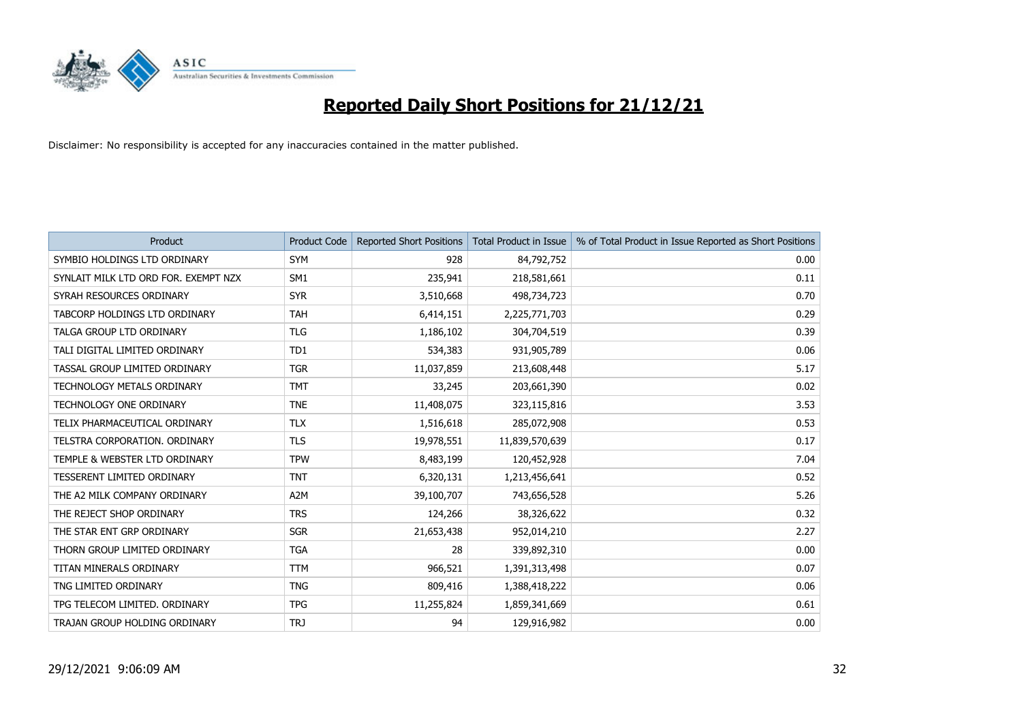

| <b>Product</b>                       | <b>Product Code</b> | <b>Reported Short Positions</b> | <b>Total Product in Issue</b> | % of Total Product in Issue Reported as Short Positions |
|--------------------------------------|---------------------|---------------------------------|-------------------------------|---------------------------------------------------------|
| SYMBIO HOLDINGS LTD ORDINARY         | <b>SYM</b>          | 928                             | 84,792,752                    | 0.00                                                    |
| SYNLAIT MILK LTD ORD FOR. EXEMPT NZX | SM <sub>1</sub>     | 235,941                         | 218,581,661                   | 0.11                                                    |
| SYRAH RESOURCES ORDINARY             | <b>SYR</b>          | 3,510,668                       | 498,734,723                   | 0.70                                                    |
| TABCORP HOLDINGS LTD ORDINARY        | <b>TAH</b>          | 6,414,151                       | 2,225,771,703                 | 0.29                                                    |
| TALGA GROUP LTD ORDINARY             | <b>TLG</b>          | 1,186,102                       | 304,704,519                   | 0.39                                                    |
| TALI DIGITAL LIMITED ORDINARY        | TD <sub>1</sub>     | 534,383                         | 931,905,789                   | 0.06                                                    |
| TASSAL GROUP LIMITED ORDINARY        | <b>TGR</b>          | 11,037,859                      | 213,608,448                   | 5.17                                                    |
| TECHNOLOGY METALS ORDINARY           | <b>TMT</b>          | 33,245                          | 203,661,390                   | 0.02                                                    |
| TECHNOLOGY ONE ORDINARY              | <b>TNE</b>          | 11,408,075                      | 323,115,816                   | 3.53                                                    |
| TELIX PHARMACEUTICAL ORDINARY        | <b>TLX</b>          | 1,516,618                       | 285,072,908                   | 0.53                                                    |
| TELSTRA CORPORATION. ORDINARY        | <b>TLS</b>          | 19,978,551                      | 11,839,570,639                | 0.17                                                    |
| TEMPLE & WEBSTER LTD ORDINARY        | <b>TPW</b>          | 8,483,199                       | 120,452,928                   | 7.04                                                    |
| <b>TESSERENT LIMITED ORDINARY</b>    | <b>TNT</b>          | 6,320,131                       | 1,213,456,641                 | 0.52                                                    |
| THE A2 MILK COMPANY ORDINARY         | A <sub>2</sub> M    | 39,100,707                      | 743,656,528                   | 5.26                                                    |
| THE REJECT SHOP ORDINARY             | <b>TRS</b>          | 124,266                         | 38,326,622                    | 0.32                                                    |
| THE STAR ENT GRP ORDINARY            | <b>SGR</b>          | 21,653,438                      | 952,014,210                   | 2.27                                                    |
| THORN GROUP LIMITED ORDINARY         | <b>TGA</b>          | 28                              | 339,892,310                   | 0.00                                                    |
| TITAN MINERALS ORDINARY              | <b>TTM</b>          | 966,521                         | 1,391,313,498                 | 0.07                                                    |
| TNG LIMITED ORDINARY                 | <b>TNG</b>          | 809,416                         | 1,388,418,222                 | 0.06                                                    |
| TPG TELECOM LIMITED. ORDINARY        | <b>TPG</b>          | 11,255,824                      | 1,859,341,669                 | 0.61                                                    |
| TRAJAN GROUP HOLDING ORDINARY        | <b>TRJ</b>          | 94                              | 129,916,982                   | 0.00                                                    |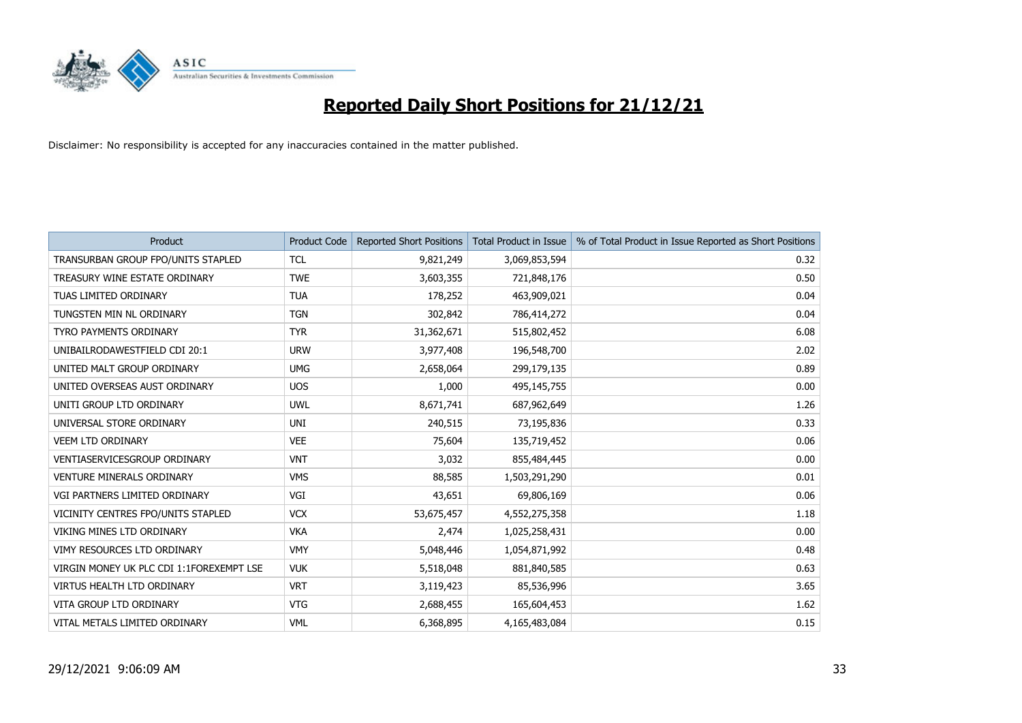

| <b>Product</b>                           | <b>Product Code</b> | <b>Reported Short Positions</b> | <b>Total Product in Issue</b> | % of Total Product in Issue Reported as Short Positions |
|------------------------------------------|---------------------|---------------------------------|-------------------------------|---------------------------------------------------------|
| TRANSURBAN GROUP FPO/UNITS STAPLED       | <b>TCL</b>          | 9,821,249                       | 3,069,853,594                 | 0.32                                                    |
| TREASURY WINE ESTATE ORDINARY            | <b>TWE</b>          | 3,603,355                       | 721,848,176                   | 0.50                                                    |
| TUAS LIMITED ORDINARY                    | <b>TUA</b>          | 178,252                         | 463,909,021                   | 0.04                                                    |
| TUNGSTEN MIN NL ORDINARY                 | <b>TGN</b>          | 302,842                         | 786,414,272                   | 0.04                                                    |
| <b>TYRO PAYMENTS ORDINARY</b>            | <b>TYR</b>          | 31,362,671                      | 515,802,452                   | 6.08                                                    |
| UNIBAILRODAWESTFIELD CDI 20:1            | <b>URW</b>          | 3,977,408                       | 196,548,700                   | 2.02                                                    |
| UNITED MALT GROUP ORDINARY               | <b>UMG</b>          | 2,658,064                       | 299,179,135                   | 0.89                                                    |
| UNITED OVERSEAS AUST ORDINARY            | <b>UOS</b>          | 1,000                           | 495,145,755                   | 0.00                                                    |
| UNITI GROUP LTD ORDINARY                 | <b>UWL</b>          | 8,671,741                       | 687,962,649                   | 1.26                                                    |
| UNIVERSAL STORE ORDINARY                 | <b>UNI</b>          | 240,515                         | 73,195,836                    | 0.33                                                    |
| <b>VEEM LTD ORDINARY</b>                 | <b>VEE</b>          | 75,604                          | 135,719,452                   | 0.06                                                    |
| VENTIASERVICESGROUP ORDINARY             | <b>VNT</b>          | 3,032                           | 855,484,445                   | 0.00                                                    |
| <b>VENTURE MINERALS ORDINARY</b>         | <b>VMS</b>          | 88,585                          | 1,503,291,290                 | 0.01                                                    |
| VGI PARTNERS LIMITED ORDINARY            | VGI                 | 43,651                          | 69,806,169                    | 0.06                                                    |
| VICINITY CENTRES FPO/UNITS STAPLED       | <b>VCX</b>          | 53,675,457                      | 4,552,275,358                 | 1.18                                                    |
| VIKING MINES LTD ORDINARY                | <b>VKA</b>          | 2,474                           | 1,025,258,431                 | 0.00                                                    |
| VIMY RESOURCES LTD ORDINARY              | <b>VMY</b>          | 5,048,446                       | 1,054,871,992                 | 0.48                                                    |
| VIRGIN MONEY UK PLC CDI 1:1FOREXEMPT LSE | <b>VUK</b>          | 5,518,048                       | 881,840,585                   | 0.63                                                    |
| <b>VIRTUS HEALTH LTD ORDINARY</b>        | <b>VRT</b>          | 3,119,423                       | 85,536,996                    | 3.65                                                    |
| VITA GROUP LTD ORDINARY                  | <b>VTG</b>          | 2,688,455                       | 165,604,453                   | 1.62                                                    |
| VITAL METALS LIMITED ORDINARY            | <b>VML</b>          | 6,368,895                       | 4,165,483,084                 | 0.15                                                    |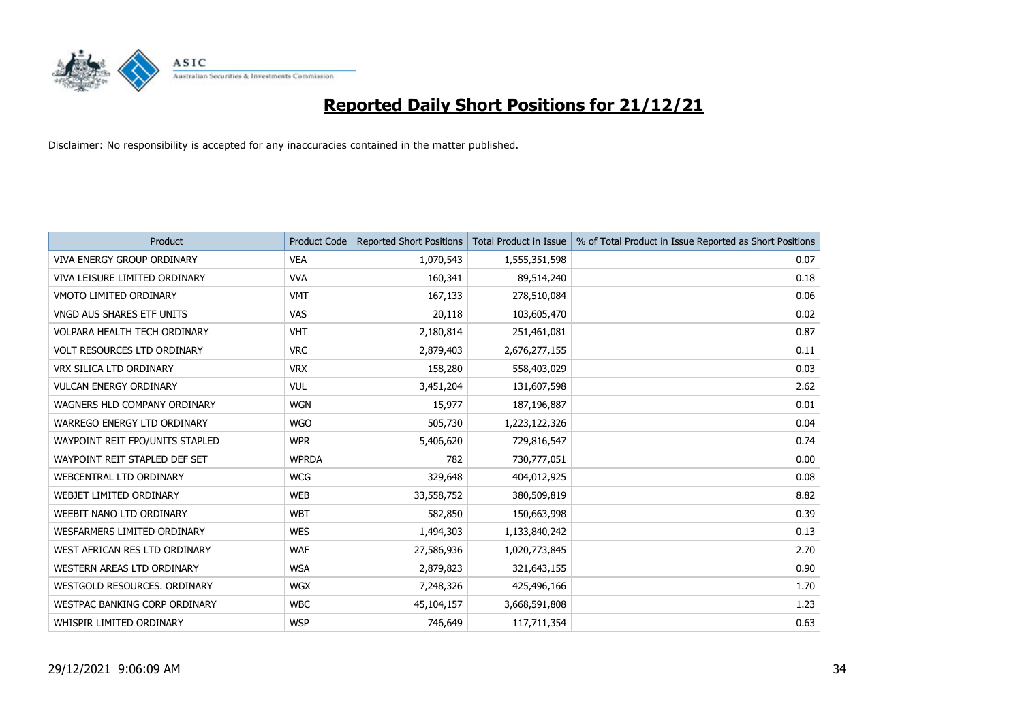

| Product                             | <b>Product Code</b> | <b>Reported Short Positions</b> | <b>Total Product in Issue</b> | % of Total Product in Issue Reported as Short Positions |
|-------------------------------------|---------------------|---------------------------------|-------------------------------|---------------------------------------------------------|
| <b>VIVA ENERGY GROUP ORDINARY</b>   | <b>VEA</b>          | 1,070,543                       | 1,555,351,598                 | 0.07                                                    |
| VIVA LEISURE LIMITED ORDINARY       | <b>VVA</b>          | 160,341                         | 89,514,240                    | 0.18                                                    |
| VMOTO LIMITED ORDINARY              | <b>VMT</b>          | 167,133                         | 278,510,084                   | 0.06                                                    |
| <b>VNGD AUS SHARES ETF UNITS</b>    | <b>VAS</b>          | 20,118                          | 103,605,470                   | 0.02                                                    |
| <b>VOLPARA HEALTH TECH ORDINARY</b> | <b>VHT</b>          | 2,180,814                       | 251,461,081                   | 0.87                                                    |
| VOLT RESOURCES LTD ORDINARY         | <b>VRC</b>          | 2,879,403                       | 2,676,277,155                 | 0.11                                                    |
| <b>VRX SILICA LTD ORDINARY</b>      | <b>VRX</b>          | 158,280                         | 558,403,029                   | 0.03                                                    |
| <b>VULCAN ENERGY ORDINARY</b>       | <b>VUL</b>          | 3,451,204                       | 131,607,598                   | 2.62                                                    |
| WAGNERS HLD COMPANY ORDINARY        | <b>WGN</b>          | 15,977                          | 187,196,887                   | 0.01                                                    |
| WARREGO ENERGY LTD ORDINARY         | <b>WGO</b>          | 505,730                         | 1,223,122,326                 | 0.04                                                    |
| WAYPOINT REIT FPO/UNITS STAPLED     | <b>WPR</b>          | 5,406,620                       | 729,816,547                   | 0.74                                                    |
| WAYPOINT REIT STAPLED DEF SET       | <b>WPRDA</b>        | 782                             | 730,777,051                   | 0.00                                                    |
| WEBCENTRAL LTD ORDINARY             | <b>WCG</b>          | 329,648                         | 404,012,925                   | 0.08                                                    |
| WEBJET LIMITED ORDINARY             | <b>WEB</b>          | 33,558,752                      | 380,509,819                   | 8.82                                                    |
| WEEBIT NANO LTD ORDINARY            | <b>WBT</b>          | 582,850                         | 150,663,998                   | 0.39                                                    |
| WESFARMERS LIMITED ORDINARY         | <b>WES</b>          | 1,494,303                       | 1,133,840,242                 | 0.13                                                    |
| WEST AFRICAN RES LTD ORDINARY       | <b>WAF</b>          | 27,586,936                      | 1,020,773,845                 | 2.70                                                    |
| WESTERN AREAS LTD ORDINARY          | <b>WSA</b>          | 2,879,823                       | 321,643,155                   | 0.90                                                    |
| WESTGOLD RESOURCES. ORDINARY        | <b>WGX</b>          | 7,248,326                       | 425,496,166                   | 1.70                                                    |
| WESTPAC BANKING CORP ORDINARY       | <b>WBC</b>          | 45,104,157                      | 3,668,591,808                 | 1.23                                                    |
| WHISPIR LIMITED ORDINARY            | <b>WSP</b>          | 746,649                         | 117,711,354                   | 0.63                                                    |